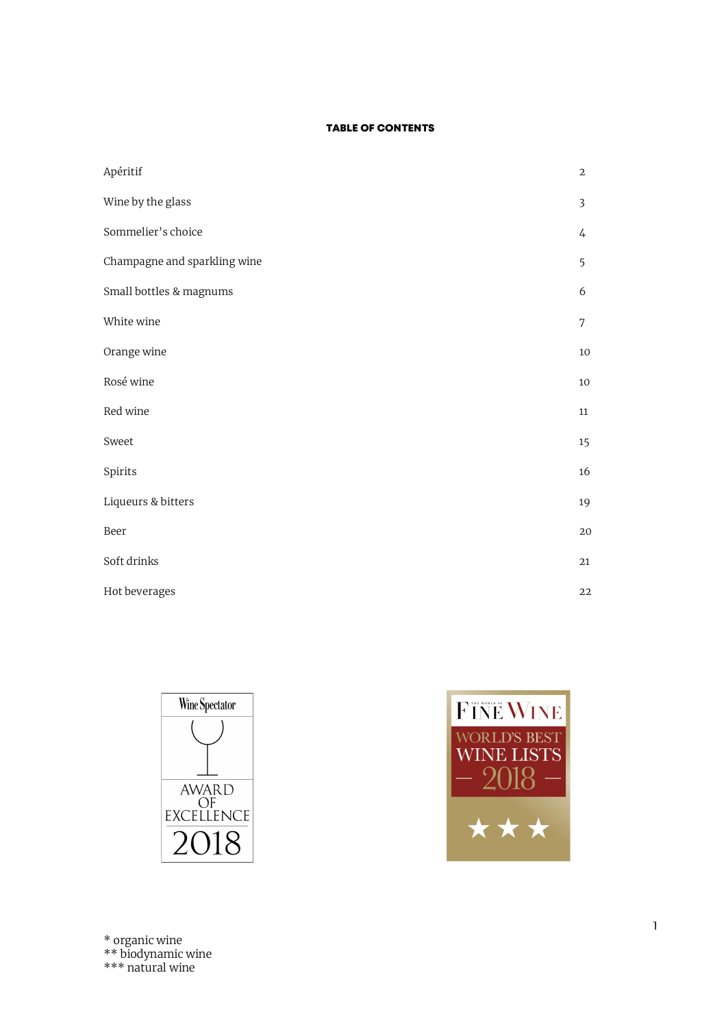### TABLE OF CONTENTS

| Apéritif                     | $\overline{2}$ |
|------------------------------|----------------|
| Wine by the glass            | $\overline{3}$ |
| Sommelier's choice           | 4              |
| Champagne and sparkling wine | 5              |
| Small bottles & magnums      | 6              |
| White wine                   | 7              |
| Orange wine                  | $10\,$         |
| Rosé wine                    | $10\,$         |
| Red wine                     | $11\,$         |
| Sweet                        | 15             |
| Spirits                      | $16\,$         |
| Liqueurs & bitters           | 19             |
| Beer                         | 20             |
| Soft drinks                  | $21\,$         |
| Hot beverages                | 22             |





\* organic wine \*\* biodynamic wine \*\*\* natural wine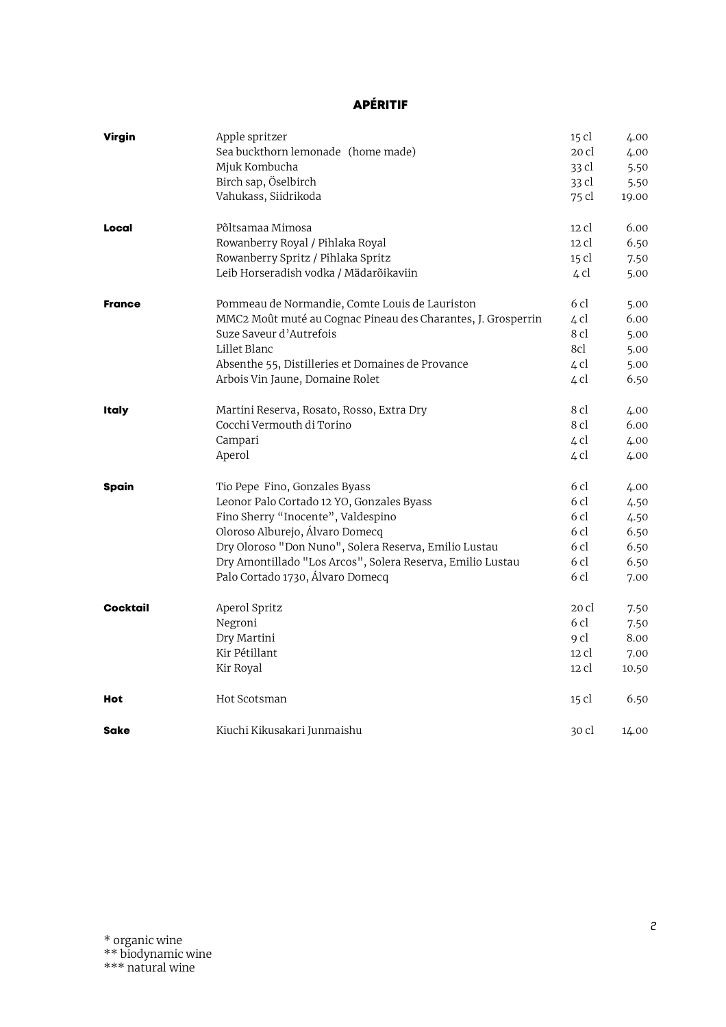# APÉRITIF

| Virgin        | Apple spritzer                                               | 15 cl | 4.00  |
|---------------|--------------------------------------------------------------|-------|-------|
|               | Sea buckthorn lemonade (home made)                           | 20 cl | 4.00  |
|               | Mjuk Kombucha                                                | 33 cl | 5.50  |
|               | Birch sap, Öselbirch                                         | 33 cl | 5.50  |
|               | Vahukass, Siidrikoda                                         | 75 cl | 19.00 |
| Local         | Põltsamaa Mimosa                                             | 12 cl | 6.00  |
|               | Rowanberry Royal / Pihlaka Royal                             | 12 cl | 6.50  |
|               | Rowanberry Spritz / Pihlaka Spritz                           | 15 cl | 7.50  |
|               | Leib Horseradish vodka / Mädarõikaviin                       | 4 cl  | 5.00  |
| <b>France</b> | Pommeau de Normandie, Comte Louis de Lauriston               | 6 cl  | 5.00  |
|               | MMC2 Moût muté au Cognac Pineau des Charantes, J. Grosperrin | 4 cl  | 6.00  |
|               | Suze Saveur d'Autrefois                                      | 8 cl  | 5.00  |
|               | Lillet Blanc                                                 | 8cl   | 5.00  |
|               | Absenthe 55, Distilleries et Domaines de Provance            | 4 cl  | 5.00  |
|               | Arbois Vin Jaune, Domaine Rolet                              | 4 cl  | 6.50  |
| <b>Italy</b>  | Martini Reserva, Rosato, Rosso, Extra Dry                    | 8 cl  | 4.00  |
|               | Cocchi Vermouth di Torino                                    | 8 cl  | 6.00  |
|               | Campari                                                      | 4 cl  | 4.00  |
|               | Aperol                                                       | 4 cl  | 4.00  |
| Spain         | Tio Pepe Fino, Gonzales Byass                                | 6 cl  | 4.00  |
|               | Leonor Palo Cortado 12 YO, Gonzales Byass                    | 6 cl  | 4.50  |
|               | Fino Sherry "Inocente", Valdespino                           | 6 cl  | 4.50  |
|               | Oloroso Alburejo, Álvaro Domecq                              | 6 cl  | 6.50  |
|               | Dry Oloroso "Don Nuno", Solera Reserva, Emilio Lustau        | 6 cl  | 6.50  |
|               | Dry Amontillado "Los Arcos", Solera Reserva, Emilio Lustau   | 6 cl  | 6.50  |
|               | Palo Cortado 1730, Álvaro Domecq                             | 6 cl  | 7.00  |
| Cocktail      | Aperol Spritz                                                | 20 cl | 7.50  |
|               | Negroni                                                      | 6 cl  | 7.50  |
|               | Dry Martini                                                  | 9 cl  | 8.00  |
|               | Kir Pétillant                                                | 12 cl | 7.00  |
|               | Kir Royal                                                    | 12 cl | 10.50 |
| <b>Hot</b>    | Hot Scotsman                                                 | 15 cl | 6.50  |
| <b>Sake</b>   | Kiuchi Kikusakari Junmaishu                                  | 30 cl | 14.00 |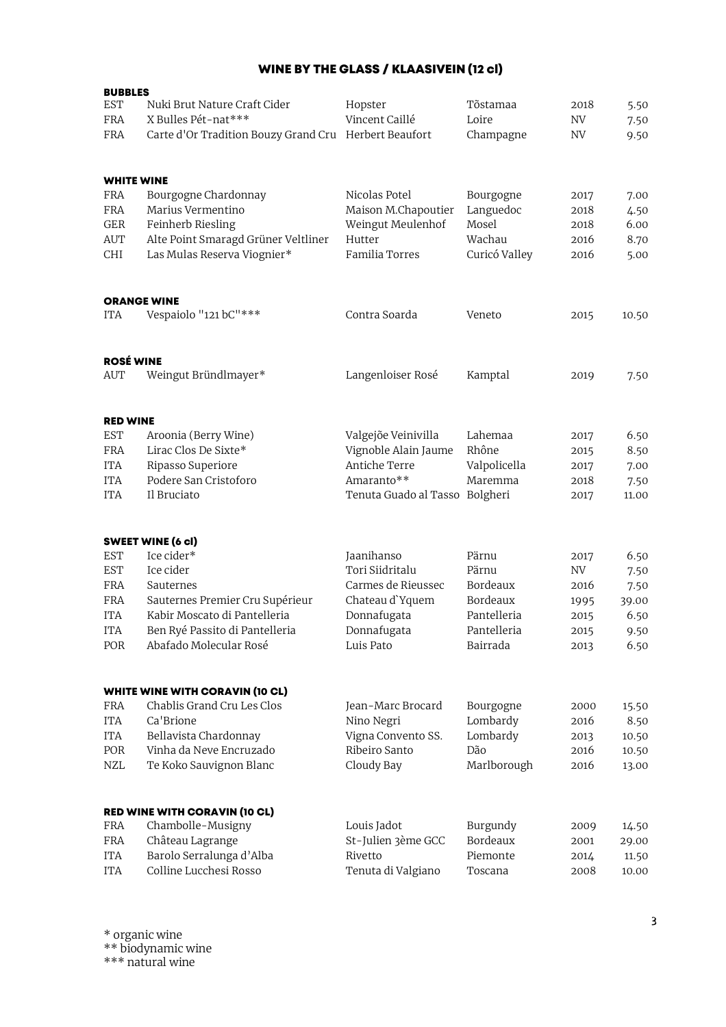# WINE BY THE GLASS / KLAASIVEIN (12 cl)

| <b>BUBBLES</b>    |                                                       |                                |               |           |       |
|-------------------|-------------------------------------------------------|--------------------------------|---------------|-----------|-------|
| <b>EST</b>        | Nuki Brut Nature Craft Cider                          | Hopster                        | Tõstamaa      | 2018      | 5.50  |
| <b>FRA</b>        | X Bulles Pét-nat***                                   | Vincent Caillé                 | Loire         | NV        | 7.50  |
| <b>FRA</b>        | Carte d'Or Tradition Bouzy Grand Cru Herbert Beaufort |                                | Champagne     | <b>NV</b> | 9.50  |
|                   |                                                       |                                |               |           |       |
| <b>WHITE WINE</b> |                                                       |                                |               |           |       |
| FRA               | Bourgogne Chardonnay                                  | Nicolas Potel                  | Bourgogne     | 2017      | 7.00  |
| FRA               | Marius Vermentino                                     | Maison M.Chapoutier            | Languedoc     | 2018      | 4.50  |
| GER               | Feinherb Riesling                                     | Weingut Meulenhof              | Mosel         | 2018      | 6.00  |
| <b>AUT</b>        | Alte Point Smaragd Grüner Veltliner                   | Hutter                         | Wachau        | 2016      | 8.70  |
| CHI               | Las Mulas Reserva Viognier*                           | Familia Torres                 | Curicó Valley | 2016      | 5.00  |
|                   | <b>ORANGE WINE</b>                                    |                                |               |           |       |
| <b>ITA</b>        | Vespaiolo "121 bC"***                                 | Contra Soarda                  | Veneto        | 2015      | 10.50 |
|                   |                                                       |                                |               |           |       |
| <b>ROSÉ WINE</b>  |                                                       |                                |               |           |       |
| AUT               | Weingut Bründlmayer*                                  | Langenloiser Rosé              | Kamptal       | 2019      | 7.50  |
| <b>RED WINE</b>   |                                                       |                                |               |           |       |
| <b>EST</b>        | Aroonia (Berry Wine)                                  | Valgejõe Veinivilla            | Lahemaa       | 2017      | 6.50  |
| <b>FRA</b>        | Lirac Clos De Sixte*                                  | Vignoble Alain Jaume           | Rhône         | 2015      | 8.50  |
| ITA               | Ripasso Superiore                                     | Antiche Terre                  | Valpolicella  | 2017      | 7.00  |
| <b>ITA</b>        | Podere San Cristoforo                                 | Amaranto**                     | Maremma       | 2018      | 7.50  |
| <b>ITA</b>        | Il Bruciato                                           | Tenuta Guado al Tasso Bolgheri |               | 2017      | 11.00 |
|                   | <b>SWEET WINE (6 cl)</b>                              |                                |               |           |       |
| <b>EST</b>        | Ice cider*                                            | Jaanihanso                     | Pärnu         | 2017      | 6.50  |
| <b>EST</b>        | Ice cider                                             | Tori Siidritalu                | Pärnu         | NV        | 7.50  |
| <b>FRA</b>        | Sauternes                                             | Carmes de Rieussec             | Bordeaux      | 2016      | 7.50  |
| FRA               | Sauternes Premier Cru Supérieur                       | Chateau d'Yquem                | Bordeaux      | 1995      | 39.00 |
| <b>ITA</b>        | Kabir Moscato di Pantelleria                          | Donnafugata                    | Pantelleria   | 2015      | 6.50  |
| <b>ITA</b>        | Ben Ryé Passito di Pantelleria                        | Donnafugata                    | Pantelleria   | 2015      | 9.50  |
| POR               | Abafado Molecular Rosé                                | Luis Pato                      | Bairrada      | 2013      | 6.50  |
|                   |                                                       |                                |               |           |       |
|                   | <b>WHITE WINE WITH CORAVIN (10 CL)</b>                |                                |               |           |       |
| <b>FRA</b>        | Chablis Grand Cru Les Clos                            | Jean-Marc Brocard              | Bourgogne     | 2000      | 15.50 |
| ITA               | Ca'Brione                                             | Nino Negri                     | Lombardy      | 2016      | 8.50  |
| ITA               | Bellavista Chardonnay                                 | Vigna Convento SS.             | Lombardy      | 2013      | 10.50 |
| POR               | Vinha da Neve Encruzado                               | Ribeiro Santo                  | Dão           | 2016      | 10.50 |
| NZL               | Te Koko Sauvignon Blanc                               | Cloudy Bay                     | Marlborough   | 2016      | 13.00 |
|                   | RED WINE WITH CORAVIN (10 CL)                         |                                |               |           |       |
| FRA               | Chambolle-Musigny                                     | Louis Jadot                    | Burgundy      | 2009      | 14.50 |
| FRA               | Château Lagrange                                      | St-Julien 3ème GCC             | Bordeaux      | 2001      | 29.00 |
| <b>ITA</b>        | Barolo Serralunga d'Alba                              | Rivetto                        | Piemonte      | 2014      | 11.50 |
| ITA               | Colline Lucchesi Rosso                                | Tenuta di Valgiano             | Toscana       | 2008      | 10.00 |
|                   |                                                       |                                |               |           |       |

\*\*\* natural wine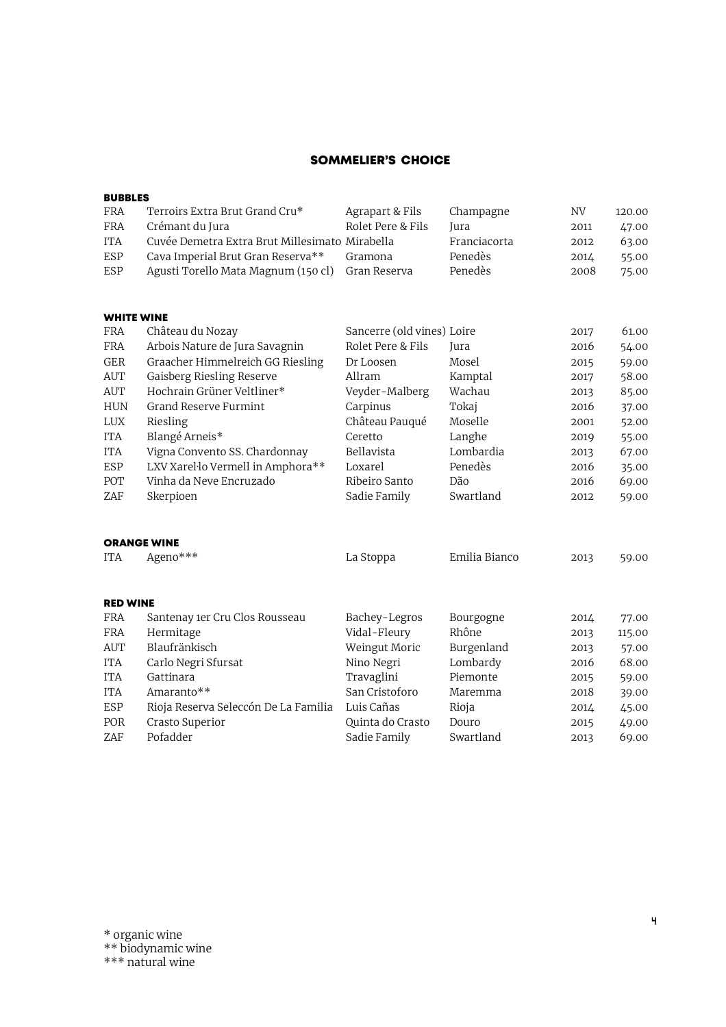## SOMMELIER'S CHOICE

| <b>BUBBLES</b>    |                                                |                            |               |           |        |
|-------------------|------------------------------------------------|----------------------------|---------------|-----------|--------|
| <b>FRA</b>        | Terroirs Extra Brut Grand Cru*                 | Agrapart & Fils            | Champagne     | <b>NV</b> | 120.00 |
| FRA               | Crémant du Jura                                | Rolet Pere & Fils          | Jura          | 2011      | 47.00  |
| <b>ITA</b>        | Cuvée Demetra Extra Brut Millesimato Mirabella |                            | Franciacorta  | 2012      | 63.00  |
| <b>ESP</b>        | Cava Imperial Brut Gran Reserva**              | Gramona                    | Penedès       | 2014      | 55.00  |
| <b>ESP</b>        | Agusti Torello Mata Magnum (150 cl)            | Gran Reserva               | Penedès       | 2008      | 75.00  |
| <b>WHITE WINE</b> |                                                |                            |               |           |        |
| <b>FRA</b>        | Château du Nozay                               | Sancerre (old vines) Loire |               | 2017      | 61.00  |
| FRA               | Arbois Nature de Jura Savagnin                 | Rolet Pere & Fils          | Jura          | 2016      | 54.00  |
| GER               | Graacher Himmelreich GG Riesling               | Dr Loosen                  | Mosel         | 2015      | 59.00  |
| <b>AUT</b>        | Gaisberg Riesling Reserve                      | Allram                     | Kamptal       | 2017      | 58.00  |
| <b>AUT</b>        | Hochrain Grüner Veltliner*                     | Veyder-Malberg             | Wachau        | 2013      | 85.00  |
| <b>HUN</b>        | Grand Reserve Furmint                          | Carpinus                   | Tokaj         | 2016      | 37.00  |
| <b>LUX</b>        | Riesling                                       | Château Pauqué             | Moselle       | 2001      | 52.00  |
| <b>ITA</b>        | Blangé Arneis*                                 | Ceretto                    | Langhe        | 2019      | 55.00  |
| <b>ITA</b>        | Vigna Convento SS. Chardonnay                  | Bellavista                 | Lombardia     | 2013      | 67.00  |
| <b>ESP</b>        | LXV Xarel·lo Vermell in Amphora**              | Loxarel                    | Penedès       | 2016      | 35.00  |
| POT               | Vinha da Neve Encruzado                        | Ribeiro Santo              | Dão           | 2016      | 69.00  |
| ZAF               | Skerpioen                                      | Sadie Family               | Swartland     | 2012      | 59.00  |
|                   | <b>ORANGE WINE</b>                             |                            |               |           |        |
| <b>ITA</b>        | Ageno***                                       | La Stoppa                  | Emilia Bianco | 2013      | 59.00  |
| <b>RED WINE</b>   |                                                |                            |               |           |        |
| <b>FRA</b>        | Santenay 1er Cru Clos Rousseau                 | Bachey-Legros              | Bourgogne     | 2014      | 77.00  |
| FRA               | Hermitage                                      | Vidal-Fleury               | Rhône         | 2013      | 115.00 |
| <b>AUT</b>        | Blaufränkisch                                  | Weingut Moric              | Burgenland    | 2013      | 57.00  |
| <b>ITA</b>        | Carlo Negri Sfursat                            | Nino Negri                 | Lombardy      | 2016      | 68.00  |
| <b>ITA</b>        | Gattinara                                      | Travaglini                 | Piemonte      | 2015      | 59.00  |
| <b>ITA</b>        | Amaranto**                                     | San Cristoforo             | Maremma       | 2018      | 39.00  |
| <b>ESP</b>        | Rioja Reserva Seleccón De La Familia           | Luis Cañas                 | Rioja         | 2014      | 45.00  |
| POR               | Crasto Superior                                | Quinta do Crasto           | Douro         | 2015      | 49.00  |
| ZAF               | Pofadder                                       | Sadie Family               | Swartland     | 2013      | 69.00  |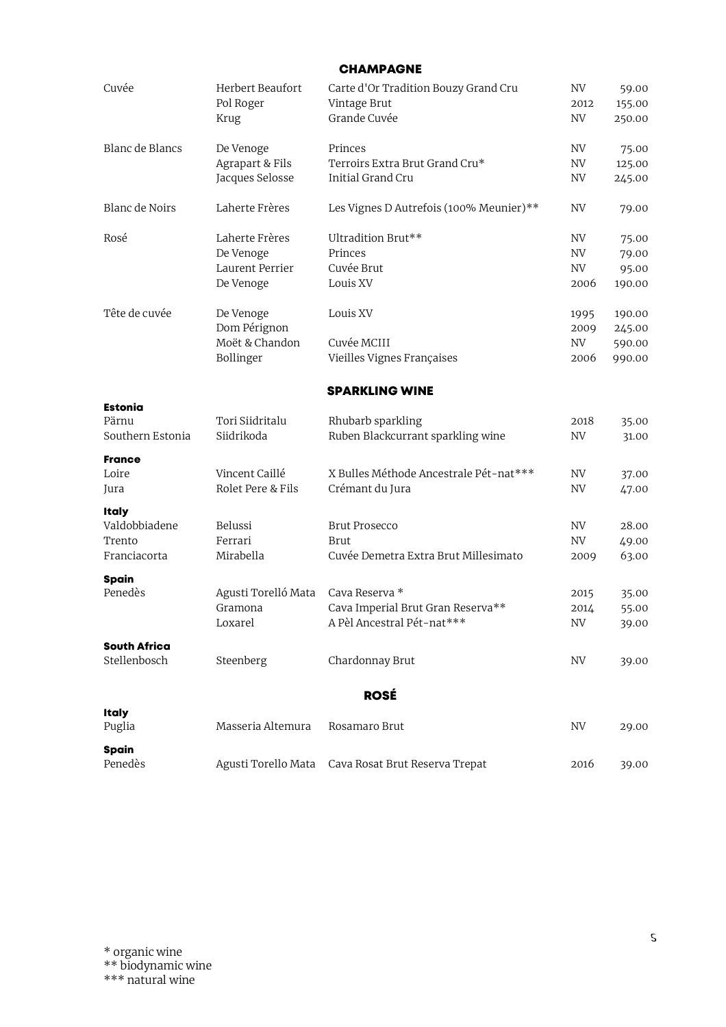|                               |                     | <b>CHAMPAGNE</b>                        |           |        |
|-------------------------------|---------------------|-----------------------------------------|-----------|--------|
| Cuvée                         | Herbert Beaufort    | Carte d'Or Tradition Bouzy Grand Cru    | <b>NV</b> | 59.00  |
|                               | Pol Roger           | Vintage Brut                            | 2012      | 155.00 |
|                               | Krug                | Grande Cuvée                            | <b>NV</b> | 250.00 |
| <b>Blanc de Blancs</b>        | De Venoge           | Princes                                 | NV        | 75.00  |
|                               | Agrapart & Fils     | Terroirs Extra Brut Grand Cru*          | NV        | 125.00 |
|                               | Jacques Selosse     | Initial Grand Cru                       | <b>NV</b> | 245.00 |
| Blanc de Noirs                | Laherte Frères      | Les Vignes D Autrefois (100% Meunier)** | <b>NV</b> | 79.00  |
| Rosé                          | Laherte Frères      | Ultradition Brut**                      | NV        | 75.00  |
|                               | De Venoge           | Princes                                 | <b>NV</b> | 79.00  |
|                               | Laurent Perrier     | Cuvée Brut                              | <b>NV</b> | 95.00  |
|                               | De Venoge           | Louis XV                                | 2006      | 190.00 |
| Tête de cuvée                 | De Venoge           | Louis XV                                | 1995      | 190.00 |
|                               | Dom Pérignon        |                                         | 2009      | 245.00 |
|                               | Moët & Chandon      | Cuvée MCIII                             | <b>NV</b> | 590.00 |
|                               | Bollinger           | Vieilles Vignes Françaises              | 2006      | 990.00 |
|                               |                     | <b>SPARKLING WINE</b>                   |           |        |
| <b>Estonia</b>                |                     |                                         |           |        |
| Pärnu                         | Tori Siidritalu     | Rhubarb sparkling                       | 2018      | 35.00  |
| Southern Estonia              | Siidrikoda          | Ruben Blackcurrant sparkling wine       | <b>NV</b> | 31.00  |
| <b>France</b>                 |                     |                                         |           |        |
| Loire                         | Vincent Caillé      | X Bulles Méthode Ancestrale Pét-nat***  | <b>NV</b> | 37.00  |
| Jura                          | Rolet Pere & Fils   | Crémant du Jura                         | NV        | 47.00  |
| <b>Italy</b><br>Valdobbiadene | Belussi             | <b>Brut Prosecco</b>                    | <b>NV</b> | 28.00  |
| Trento                        | Ferrari             | Brut                                    | <b>NV</b> | 49.00  |
| Franciacorta                  | Mirabella           | Cuvée Demetra Extra Brut Millesimato    | 2009      | 63.00  |
| <b>Spain</b>                  |                     |                                         |           |        |
| Penedès                       | Agusti Torelló Mata | Cava Reserva *                          | 2015      | 35.00  |
|                               | Gramona             | Cava Imperial Brut Gran Reserva**       | 2014      | 55.00  |
|                               | Loxarel             | A Pèl Ancestral Pét-nat***              | NV        | 39.00  |
| <b>South Africa</b>           |                     |                                         |           |        |
| Stellenbosch                  | Steenberg           | Chardonnay Brut                         | NV        | 39.00  |
|                               |                     | <b>ROSÉ</b>                             |           |        |
| <b>Italy</b><br>Puglia        | Masseria Altemura   | Rosamaro Brut                           | NV        | 29.00  |
| Spain<br>Penedès              | Agusti Torello Mata | Cava Rosat Brut Reserva Trepat          | 2016      | 39.00  |
|                               |                     |                                         |           |        |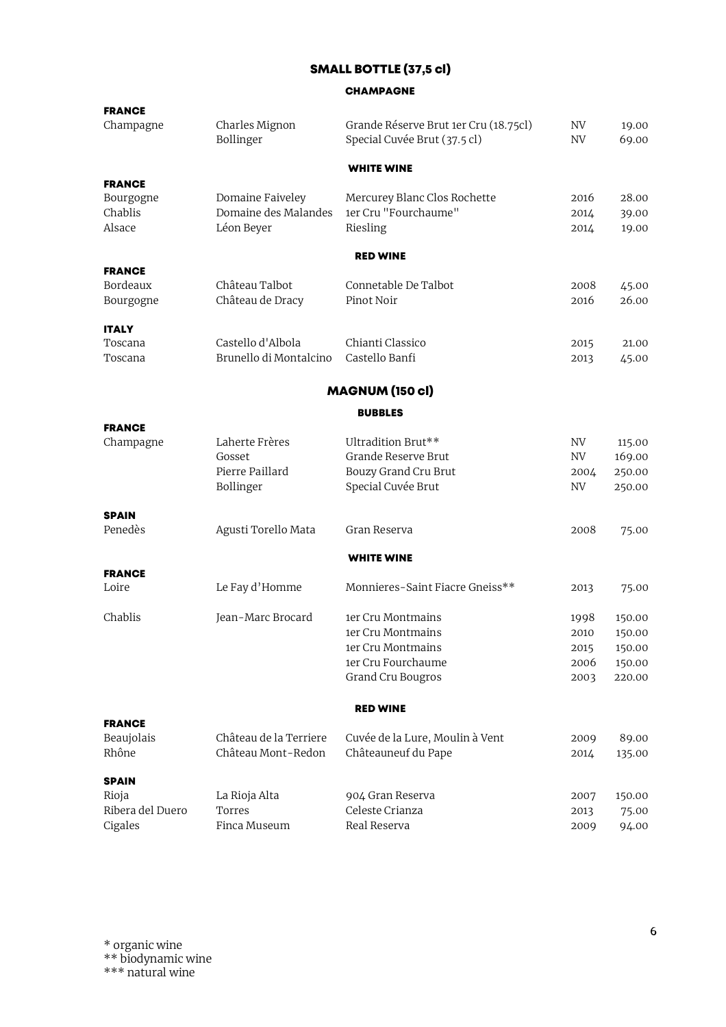# SMALL BOTTLE (37,5 cl)

### CHAMPAGNE

| <b>FRANCE</b>               |                             |                                                                       |                 |                |
|-----------------------------|-----------------------------|-----------------------------------------------------------------------|-----------------|----------------|
| Champagne                   | Charles Mignon<br>Bollinger | Grande Réserve Brut 1er Cru (18.75cl)<br>Special Cuvée Brut (37.5 cl) | NV<br><b>NV</b> | 19.00<br>69.00 |
|                             |                             | <b>WHITE WINE</b>                                                     |                 |                |
| <b>FRANCE</b><br>Bourgogne  | Domaine Faiveley            | Mercurey Blanc Clos Rochette                                          | 2016            | 28.00          |
| Chablis                     | Domaine des Malandes        | 1er Cru "Fourchaume"                                                  | 2014            | 39.00          |
| Alsace                      | Léon Beyer                  | Riesling                                                              | 2014            | 19.00          |
|                             |                             | <b>RED WINE</b>                                                       |                 |                |
| <b>FRANCE</b><br>Bordeaux   | Château Talbot              | Connetable De Talbot                                                  |                 |                |
| Bourgogne                   | Château de Dracy            | Pinot Noir                                                            | 2008<br>2016    | 45.00<br>26.00 |
| <b>ITALY</b>                |                             |                                                                       |                 |                |
| Toscana                     | Castello d'Albola           | Chianti Classico                                                      | 2015            | 21.00          |
| Toscana                     | Brunello di Montalcino      | Castello Banfi                                                        | 2013            | 45.00          |
|                             |                             | MAGNUM (150 cl)                                                       |                 |                |
|                             |                             | <b>BUBBLES</b>                                                        |                 |                |
| <b>FRANCE</b><br>Champagne  | Laherte Frères              | Ultradition Brut**                                                    | <b>NV</b>       | 115.00         |
|                             | Gosset                      | Grande Reserve Brut                                                   | <b>NV</b>       | 169.00         |
|                             | Pierre Paillard             | Bouzy Grand Cru Brut                                                  | 2004            | 250.00         |
|                             | Bollinger                   | Special Cuvée Brut                                                    | <b>NV</b>       | 250.00         |
| <b>SPAIN</b>                |                             |                                                                       |                 |                |
| Penedès                     | Agusti Torello Mata         | Gran Reserva                                                          | 2008            | 75.00          |
|                             |                             | <b>WHITE WINE</b>                                                     |                 |                |
| <b>FRANCE</b><br>Loire      |                             | Monnieres-Saint Fiacre Gneiss**                                       |                 |                |
|                             | Le Fay d'Homme              |                                                                       | 2013            | 75.00          |
| Chablis                     | Jean-Marc Brocard           | 1er Cru Montmains                                                     | 1998            | 150.00         |
|                             |                             | 1er Cru Montmains                                                     | 2010            | 150.00         |
|                             |                             | 1er Cru Montmains                                                     | 2015            | 150.00         |
|                             |                             | 1er Cru Fourchaume                                                    | 2006            | 150.00         |
|                             |                             | Grand Cru Bougros                                                     | 2003            | 220.00         |
|                             |                             | <b>RED WINE</b>                                                       |                 |                |
| <b>FRANCE</b><br>Beaujolais | Château de la Terriere      | Cuvée de la Lure, Moulin à Vent                                       | 2009            | 89.00          |
| Rhône                       | Château Mont-Redon          | Châteauneuf du Pape                                                   | 2014            | 135.00         |
| <b>SPAIN</b>                |                             |                                                                       |                 |                |
| Rioja                       | La Rioja Alta               | 904 Gran Reserva                                                      | 2007            | 150.00         |
| Ribera del Duero            | Torres                      | Celeste Crianza                                                       | 2013            | 75.00          |
| Cigales                     | Finca Museum                | Real Reserva                                                          | 2009            | 94.00          |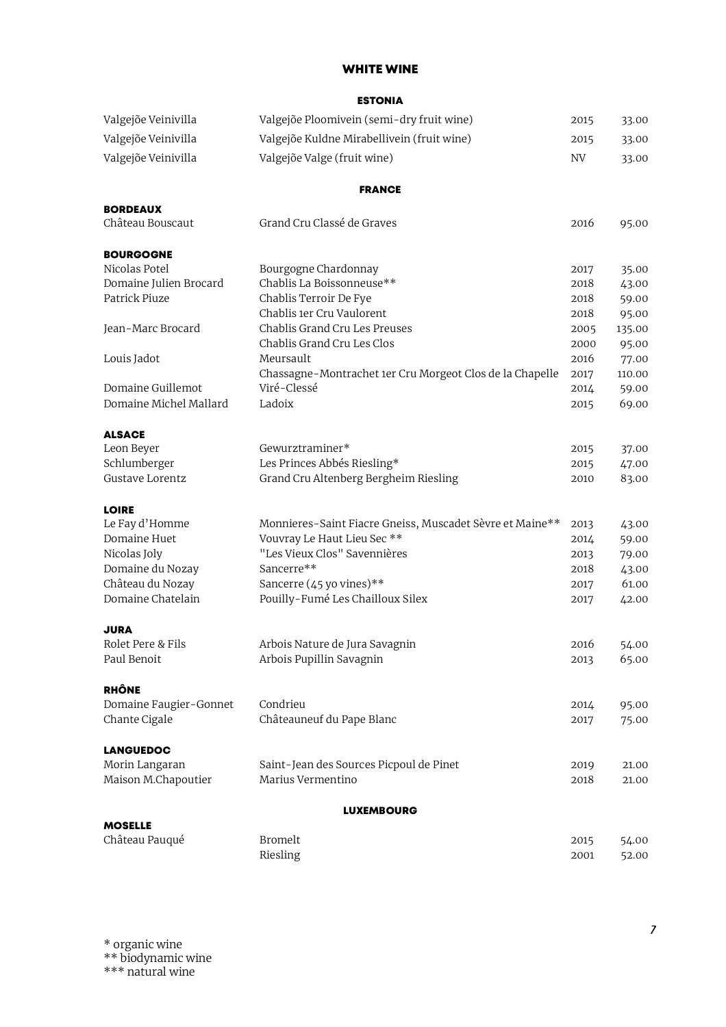## WHITE WINE

### ESTONIA

| Valgejõe Veinivilla    | Valgejõe Ploomivein (semi-dry fruit wine)                | 2015      | 33.00  |
|------------------------|----------------------------------------------------------|-----------|--------|
| Valgejõe Veinivilla    | Valgejõe Kuldne Mirabellivein (fruit wine)               | 2015      | 33.00  |
| Valgejõe Veinivilla    | Valgejõe Valge (fruit wine)                              | <b>NV</b> | 33.00  |
|                        | <b>FRANCE</b>                                            |           |        |
| <b>BORDEAUX</b>        |                                                          |           |        |
| Château Bouscaut       | Grand Cru Classé de Graves                               | 2016      | 95.00  |
| <b>BOURGOGNE</b>       |                                                          |           |        |
| Nicolas Potel          | Bourgogne Chardonnay                                     | 2017      | 35.00  |
| Domaine Julien Brocard | Chablis La Boissonneuse**                                | 2018      | 43.00  |
| Patrick Piuze          | Chablis Terroir De Fye                                   | 2018      | 59.00  |
|                        | Chablis 1er Cru Vaulorent                                | 2018      | 95.00  |
| Jean-Marc Brocard      | Chablis Grand Cru Les Preuses                            | 2005      | 135.00 |
|                        | Chablis Grand Cru Les Clos                               | 2000      | 95.00  |
| Louis Jadot            | Meursault                                                | 2016      | 77.00  |
|                        | Chassagne-Montrachet 1er Cru Morgeot Clos de la Chapelle | 2017      | 110.00 |
| Domaine Guillemot      | Viré-Clessé                                              | 2014      | 59.00  |
| Domaine Michel Mallard | Ladoix                                                   | 2015      | 69.00  |
| <b>ALSACE</b>          |                                                          |           |        |
| Leon Beyer             | Gewurztraminer*                                          | 2015      | 37.00  |
| Schlumberger           | Les Princes Abbés Riesling*                              | 2015      | 47.00  |
| Gustave Lorentz        | Grand Cru Altenberg Bergheim Riesling                    | 2010      | 83.00  |
| <b>LOIRE</b>           |                                                          |           |        |
| Le Fay d'Homme         | Monnieres-Saint Fiacre Gneiss, Muscadet Sèvre et Maine** | 2013      | 43.00  |
| Domaine Huet           | Vouvray Le Haut Lieu Sec **                              | 2014      | 59.00  |
| Nicolas Joly           | "Les Vieux Clos" Savennières                             | 2013      | 79.00  |
| Domaine du Nozay       | Sancerre**                                               | 2018      | 43.00  |
| Château du Nozay       | Sancerre (45 yo vines)**                                 | 2017      | 61.00  |
| Domaine Chatelain      | Pouilly-Fumé Les Chailloux Silex                         | 2017      | 42.00  |
| <b>JURA</b>            |                                                          |           |        |
| Rolet Pere & Fils      | Arbois Nature de Jura Savagnin                           | 2016      | 54.00  |
| Paul Benoit            | Arbois Pupillin Savagnin                                 | 2013      | 65.00  |
| <b>RHÔNE</b>           |                                                          |           |        |
| Domaine Faugier-Gonnet | Condrieu                                                 | 2014      | 95.00  |
| Chante Cigale          | Châteauneuf du Pape Blanc                                | 2017      | 75.00  |
| <b>LANGUEDOC</b>       |                                                          |           |        |
| Morin Langaran         | Saint-Jean des Sources Picpoul de Pinet                  | 2019      | 21.00  |
| Maison M.Chapoutier    | Marius Vermentino                                        | 2018      | 21.00  |
|                        | <b>LUXEMBOURG</b>                                        |           |        |
| <b>MOSELLE</b>         |                                                          |           |        |
| Château Pauqué         | <b>Bromelt</b>                                           | 2015      | 54.00  |
|                        | Riesling                                                 | 2001      | 52.00  |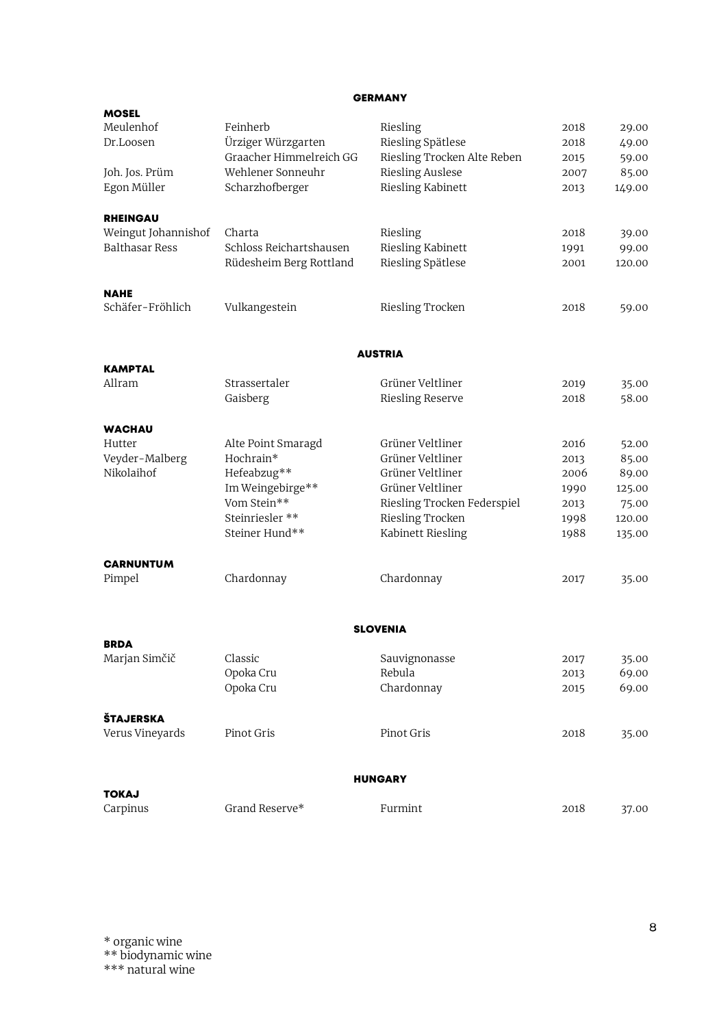### **GERMANY**

| <b>MOSEL</b>             |                         |                             |      |        |
|--------------------------|-------------------------|-----------------------------|------|--------|
| Meulenhof                | Feinherb                | Riesling                    | 2018 | 29.00  |
| Dr.Loosen                | Ürziger Würzgarten      | Riesling Spätlese           | 2018 | 49.00  |
|                          | Graacher Himmelreich GG | Riesling Trocken Alte Reben | 2015 | 59.00  |
| Joh. Jos. Prüm           | Wehlener Sonneuhr       | Riesling Auslese            | 2007 | 85.00  |
| Egon Müller              | Scharzhofberger         | Riesling Kabinett           | 2013 | 149.00 |
| <b>RHEINGAU</b>          |                         |                             |      |        |
| Weingut Johannishof      | Charta                  | Riesling                    | 2018 | 39.00  |
| <b>Balthasar Ress</b>    | Schloss Reichartshausen | Riesling Kabinett           | 1991 | 99.00  |
|                          | Rüdesheim Berg Rottland | Riesling Spätlese           | 2001 | 120.00 |
| <b>NAHE</b>              |                         |                             |      |        |
| Schäfer-Fröhlich         | Vulkangestein           | Riesling Trocken            | 2018 | 59.00  |
|                          |                         |                             |      |        |
| <b>KAMPTAL</b>           |                         | <b>AUSTRIA</b>              |      |        |
| Allram                   | Strassertaler           | Grüner Veltliner            | 2019 | 35.00  |
|                          | Gaisberg                | Riesling Reserve            | 2018 | 58.00  |
| <b>WACHAU</b>            |                         |                             |      |        |
| Hutter                   | Alte Point Smaragd      | Grüner Veltliner            | 2016 | 52.00  |
| Veyder-Malberg           | Hochrain*               | Grüner Veltliner            | 2013 | 85.00  |
| Nikolaihof               | Hefeabzug**             | Grüner Veltliner            | 2006 | 89.00  |
|                          | Im Weingebirge**        | Grüner Veltliner            | 1990 | 125.00 |
|                          | Vom Stein**             | Riesling Trocken Federspiel | 2013 | 75.00  |
|                          | Steinriesler **         | Riesling Trocken            | 1998 | 120.00 |
|                          | Steiner Hund**          | Kabinett Riesling           | 1988 | 135.00 |
| <b>CARNUNTUM</b>         |                         |                             |      |        |
| Pimpel                   | Chardonnay              | Chardonnay                  | 2017 | 35.00  |
|                          |                         |                             |      |        |
| <b>BRDA</b>              |                         | <b>SLOVENIA</b>             |      |        |
| Marjan Simčič            | Classic                 | Sauvignonasse               | 2017 | 35.00  |
|                          | Opoka Cru               | Rebula                      | 2013 | 69.00  |
|                          | Opoka Cru               | Chardonnay                  | 2015 | 69.00  |
| ŠTAJERSKA                |                         |                             |      |        |
| Verus Vineyards          | Pinot Gris              | Pinot Gris                  | 2018 | 35.00  |
|                          |                         |                             |      |        |
|                          |                         | <b>HUNGARY</b>              |      |        |
| <b>TOKAJ</b><br>Carpinus | Grand Reserve*          | Furmint                     | 2018 |        |
|                          |                         |                             |      | 37.00  |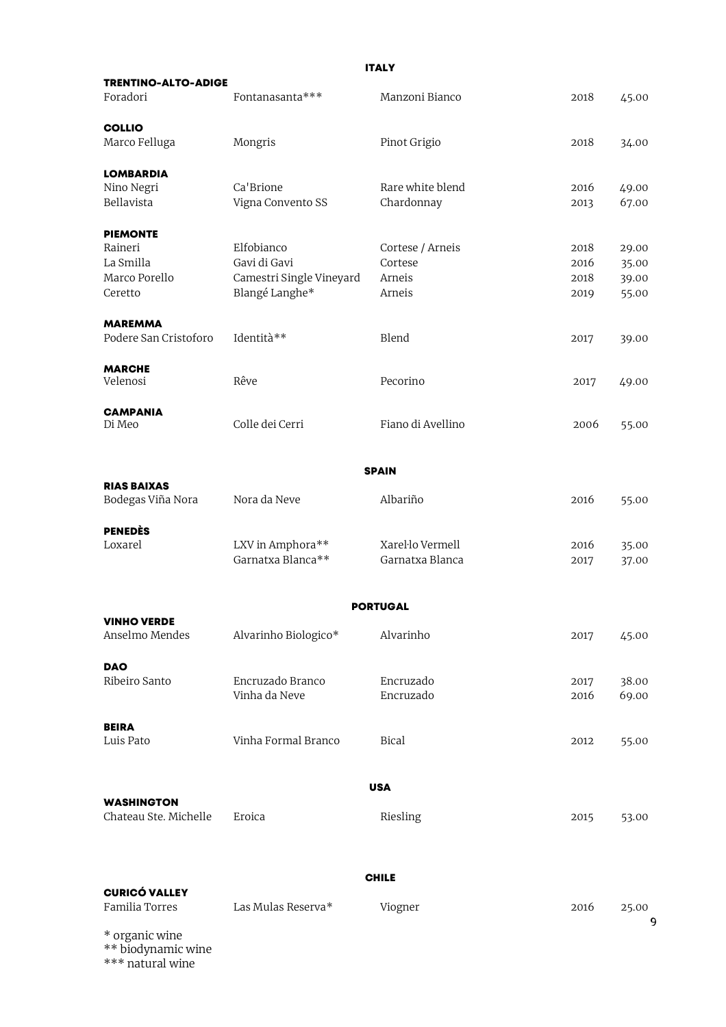|                                      | <b>ITALY</b>             |                   |      |                |  |  |
|--------------------------------------|--------------------------|-------------------|------|----------------|--|--|
| <b>TRENTINO-ALTO-ADIGE</b>           |                          |                   |      |                |  |  |
| Foradori                             | Fontanasanta***          | Manzoni Bianco    | 2018 | 45.00          |  |  |
|                                      |                          |                   |      |                |  |  |
| <b>COLLIO</b><br>Marco Felluga       | Mongris                  | Pinot Grigio      | 2018 | 34.00          |  |  |
|                                      |                          |                   |      |                |  |  |
| <b>LOMBARDIA</b>                     |                          |                   |      |                |  |  |
| Nino Negri                           | Ca'Brione                | Rare white blend  | 2016 | 49.00          |  |  |
| Bellavista                           | Vigna Convento SS        | Chardonnay        | 2013 | 67.00          |  |  |
|                                      |                          |                   |      |                |  |  |
| <b>PIEMONTE</b><br>Raineri           | Elfobianco               | Cortese / Arneis  | 2018 |                |  |  |
| La Smilla                            | Gavi di Gavi             | Cortese           | 2016 | 29.00<br>35.00 |  |  |
| Marco Porello                        | Camestri Single Vineyard | Arneis            | 2018 | 39.00          |  |  |
| Ceretto                              | Blangé Langhe*           | Arneis            | 2019 | 55.00          |  |  |
|                                      |                          |                   |      |                |  |  |
| <b>MAREMMA</b>                       |                          |                   |      |                |  |  |
| Podere San Cristoforo                | Identità**               | Blend             | 2017 | 39.00          |  |  |
|                                      |                          |                   |      |                |  |  |
| <b>MARCHE</b><br>Velenosi            | Rêve                     | Pecorino          | 2017 | 49.00          |  |  |
|                                      |                          |                   |      |                |  |  |
| <b>CAMPANIA</b>                      |                          |                   |      |                |  |  |
| Di Meo                               | Colle dei Cerri          | Fiano di Avellino | 2006 | 55.00          |  |  |
|                                      |                          |                   |      |                |  |  |
|                                      |                          |                   |      |                |  |  |
| <b>RIAS BAIXAS</b>                   |                          | <b>SPAIN</b>      |      |                |  |  |
| Bodegas Viña Nora                    | Nora da Neve             | Albariño          | 2016 | 55.00          |  |  |
|                                      |                          |                   |      |                |  |  |
| <b>PENEDÈS</b>                       |                          |                   |      |                |  |  |
| Loxarel                              | LXV in Amphora**         | Xarel·lo Vermell  | 2016 | 35.00          |  |  |
|                                      | Garnatxa Blanca**        | Garnatxa Blanca   | 2017 | 37.00          |  |  |
|                                      |                          |                   |      |                |  |  |
|                                      |                          | <b>PORTUGAL</b>   |      |                |  |  |
| <b>VINHO VERDE</b>                   |                          |                   |      |                |  |  |
| Anselmo Mendes                       | Alvarinho Biologico*     | Alvarinho         | 2017 | 45.00          |  |  |
|                                      |                          |                   |      |                |  |  |
| <b>DAO</b>                           |                          |                   |      |                |  |  |
| Ribeiro Santo                        | Encruzado Branco         | Encruzado         | 2017 | 38.00          |  |  |
|                                      | Vinha da Neve            | Encruzado         | 2016 | 69.00          |  |  |
| <b>BEIRA</b>                         |                          |                   |      |                |  |  |
| Luis Pato                            | Vinha Formal Branco      | <b>Bical</b>      | 2012 | 55.00          |  |  |
|                                      |                          |                   |      |                |  |  |
|                                      |                          |                   |      |                |  |  |
|                                      |                          | <b>USA</b>        |      |                |  |  |
| <b>WASHINGTON</b>                    |                          |                   |      |                |  |  |
| Chateau Ste. Michelle                | Eroica                   | Riesling          | 2015 | 53.00          |  |  |
|                                      |                          |                   |      |                |  |  |
|                                      |                          |                   |      |                |  |  |
|                                      |                          | <b>CHILE</b>      |      |                |  |  |
| <b>CURICÓ VALLEY</b>                 |                          |                   |      |                |  |  |
| Familia Torres                       | Las Mulas Reserva*       | Viogner           | 2016 | 25.00          |  |  |
|                                      |                          |                   |      | 9              |  |  |
| * organic wine<br>** biodynamic wine |                          |                   |      |                |  |  |

\*\*\* natural wine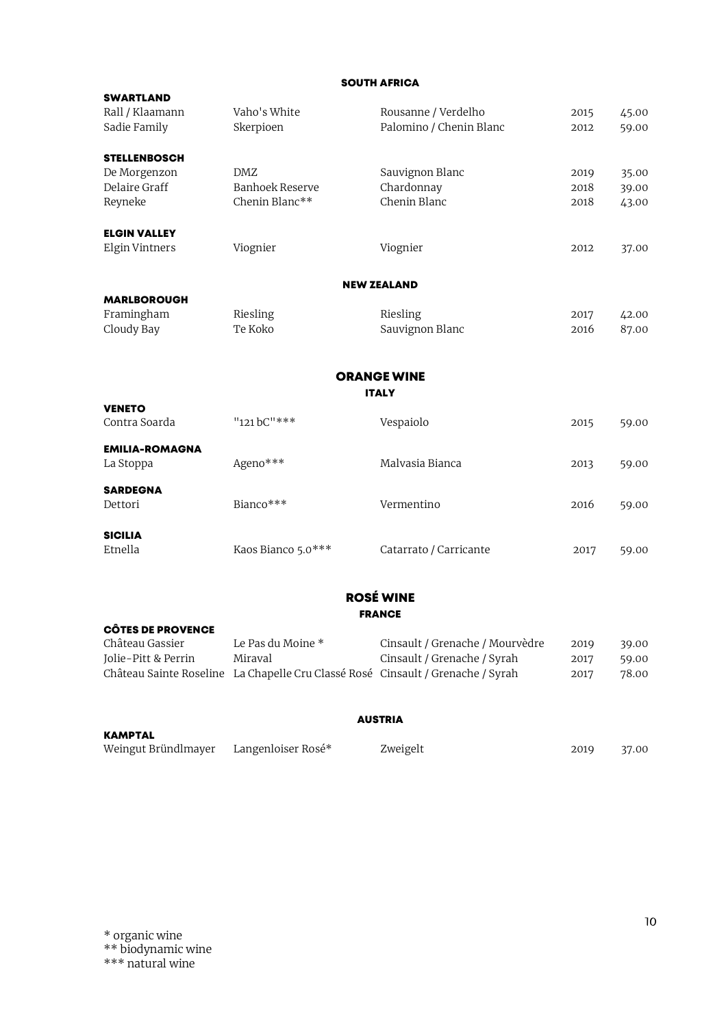### SOUTH AFRICA

| <b>SWARTLAND</b>                       |                                                                                            |                                 |              |                |
|----------------------------------------|--------------------------------------------------------------------------------------------|---------------------------------|--------------|----------------|
| Rall / Klaamann                        | Vaho's White                                                                               | Rousanne / Verdelho             | 2015         | 45.00          |
| Sadie Family                           | Skerpioen                                                                                  | Palomino / Chenin Blanc         | 2012         | 59.00          |
| <b>STELLENBOSCH</b>                    |                                                                                            |                                 |              |                |
| De Morgenzon                           | <b>DMZ</b>                                                                                 | Sauvignon Blanc                 | 2019         | 35.00          |
| Delaire Graff                          | Banhoek Reserve                                                                            | Chardonnay                      | 2018         | 39.00          |
| Reyneke                                | Chenin Blanc**                                                                             | Chenin Blanc                    | 2018         | 43.00          |
| <b>ELGIN VALLEY</b>                    |                                                                                            |                                 |              |                |
| Elgin Vintners                         | Viognier                                                                                   | Viognier                        | 2012         | 37.00          |
|                                        |                                                                                            | <b>NEW ZEALAND</b>              |              |                |
| <b>MARLBOROUGH</b>                     |                                                                                            |                                 |              |                |
| Framingham                             | Riesling                                                                                   | Riesling                        | 2017         | 42.00          |
| Cloudy Bay                             | Te Koko                                                                                    | Sauvignon Blanc                 | 2016         | 87.00          |
|                                        |                                                                                            | <b>ORANGE WINE</b>              |              |                |
|                                        |                                                                                            | <b>ITALY</b>                    |              |                |
| <b>VENETO</b><br>Contra Soarda         | "121bC"***                                                                                 | Vespaiolo                       |              |                |
|                                        |                                                                                            |                                 | 2015         | 59.00          |
| <b>EMILIA-ROMAGNA</b>                  |                                                                                            |                                 |              |                |
| La Stoppa                              | Ageno***                                                                                   | Malvasia Bianca                 | 2013         | 59.00          |
| <b>SARDEGNA</b><br>Dettori             | Bianco***                                                                                  | Vermentino                      | 2016         | 59.00          |
|                                        |                                                                                            |                                 |              |                |
| <b>SICILIA</b>                         |                                                                                            |                                 |              |                |
| Etnella                                | Kaos Bianco 5.0***                                                                         | Catarrato / Carricante          | 2017         | 59.00          |
|                                        |                                                                                            | <b>ROSÉ WINE</b>                |              |                |
|                                        |                                                                                            | <b>FRANCE</b>                   |              |                |
| <b>CÔTES DE PROVENCE</b>               |                                                                                            |                                 |              |                |
| Château Gassier<br>Jolie-Pitt & Perrin | Le Pas du Moine *                                                                          | Cinsault / Grenache / Mourvèdre | 2019         | 39.00          |
|                                        | Miraval<br>Château Sainte Roseline La Chapelle Cru Classé Rosé Cinsault / Grenache / Syrah | Cinsault / Grenache / Syrah     | 2017<br>2017 | 59.00<br>78.00 |
|                                        |                                                                                            |                                 |              |                |
|                                        |                                                                                            | <b>AUSTRIA</b>                  |              |                |

KAMPTAL

Weingut Bründlmayer Langenloiser Rosé\* Zweigelt 2019 37.00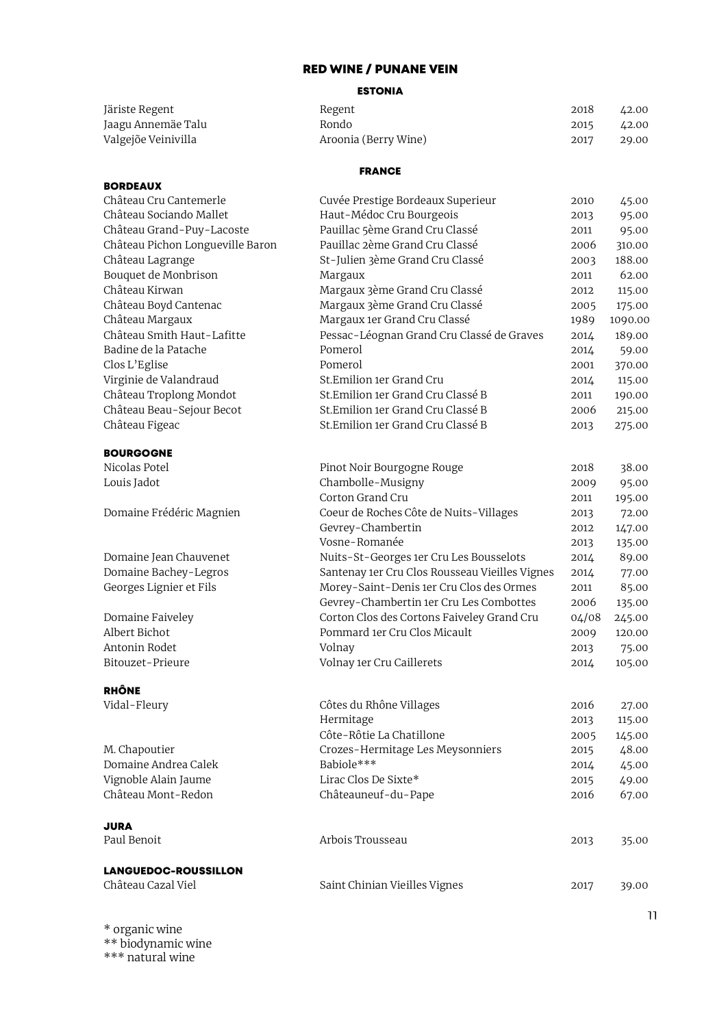## RED WINE / PUNANE VEIN

### ESTONIA

| Järiste Regent      | Regent               | 2018 | 42.00 |
|---------------------|----------------------|------|-------|
| Jaagu Annemäe Talu  | Rondo                | 2015 | 42.00 |
| Valgejõe Veinivilla | Aroonia (Berry Wine) | 2017 | 29.00 |

### FRANCE

| <b>BORDEAUX</b>                  |                                                |       |                  |
|----------------------------------|------------------------------------------------|-------|------------------|
| Château Cru Cantemerle           | Cuvée Prestige Bordeaux Superieur              | 2010  | 45.00            |
| Château Sociando Mallet          | Haut-Médoc Cru Bourgeois                       | 2013  | 95.00            |
| Château Grand-Puy-Lacoste        | Pauillac 5ème Grand Cru Classé                 | 2011  | 95.00            |
| Château Pichon Longueville Baron | Pauillac 2ème Grand Cru Classé                 | 2006  | 310.00           |
| Château Lagrange                 | St-Julien 3ème Grand Cru Classé                | 2003  | 188.00           |
| Bouquet de Monbrison             | Margaux                                        | 2011  | 62.00            |
| Château Kirwan                   | Margaux 3ème Grand Cru Classé                  | 2012  | 115.00           |
| Château Boyd Cantenac            | Margaux 3ème Grand Cru Classé                  | 2005  | 175.00           |
| Château Margaux                  | Margaux 1er Grand Cru Classé                   | 1989  | 1090.00          |
| Château Smith Haut-Lafitte       | Pessac-Léognan Grand Cru Classé de Graves      | 2014  | 189.00           |
| Badine de la Patache             | Pomerol                                        | 2014  | 59.00            |
| Clos L'Eglise                    | Pomerol                                        | 2001  | 370.00           |
| Virginie de Valandraud           | St.Emilion 1er Grand Cru                       | 2014  | 115.00           |
| Château Troplong Mondot          | St.Emilion 1er Grand Cru Classé B              | 2011  | 190.00           |
| Château Beau-Sejour Becot        | St.Emilion 1er Grand Cru Classé B              | 2006  | 215.00           |
| Château Figeac                   | St. Emilion 1er Grand Cru Classé B             | 2013  | 275.00           |
|                                  |                                                |       |                  |
| <b>BOURGOGNE</b>                 |                                                |       |                  |
| Nicolas Potel                    | Pinot Noir Bourgogne Rouge                     | 2018  | 38.00            |
| Louis Jadot                      | Chambolle-Musigny                              | 2009  | 95.00            |
|                                  | Corton Grand Cru                               | 2011  | 195.00           |
| Domaine Frédéric Magnien         | Coeur de Roches Côte de Nuits-Villages         | 2013  | 72.00            |
|                                  | Gevrey-Chambertin                              | 2012  | 147.00           |
|                                  | Vosne-Romanée                                  | 2013  | 135.00           |
| Domaine Jean Chauvenet           | Nuits-St-Georges 1er Cru Les Bousselots        | 2014  | 89.00            |
| Domaine Bachey-Legros            | Santenay 1er Cru Clos Rousseau Vieilles Vignes | 2014  | 77.00            |
| Georges Lignier et Fils          | Morey-Saint-Denis 1er Cru Clos des Ormes       | 2011  | 85.00            |
|                                  | Gevrey-Chambertin 1er Cru Les Combottes        | 2006  | 135.00           |
| Domaine Faiveley                 | Corton Clos des Cortons Faiveley Grand Cru     | 04/08 | 245.00           |
| Albert Bichot                    | Pommard 1er Cru Clos Micault                   | 2009  | 120.00           |
| Antonin Rodet                    | Volnay                                         | 2013  | 75.00            |
| Bitouzet-Prieure                 | Volnay 1er Cru Caillerets                      | 2014  | 105.00           |
|                                  |                                                |       |                  |
| <b>RHÔNE</b><br>Vidal-Fleury     | Côtes du Rhône Villages                        | 2016  |                  |
|                                  | Hermitage                                      | 2013  | 27.00            |
|                                  | Côte-Rôtie La Chatillone                       | 2005  | 115.00<br>145.00 |
| M. Chapoutier                    | Crozes-Hermitage Les Meysonniers               | 2015  | 48.00            |
| Domaine Andrea Calek             | Babiole***                                     | 2014  | 45.00            |
| Vignoble Alain Jaume             | Lirac Clos De Sixte*                           | 2015  | 49.00            |
| Château Mont-Redon               | Châteauneuf-du-Pape                            | 2016  | 67.00            |
|                                  |                                                |       |                  |
| <b>JURA</b>                      |                                                |       |                  |
| Paul Benoit                      | Arbois Trousseau                               | 2013  | 35.00            |
|                                  |                                                |       |                  |
| <b>LANGUEDOC-ROUSSILLON</b>      |                                                |       |                  |
| Château Cazal Viel               | Saint Chinian Vieilles Vignes                  | 2017  | 39.00            |
|                                  |                                                |       |                  |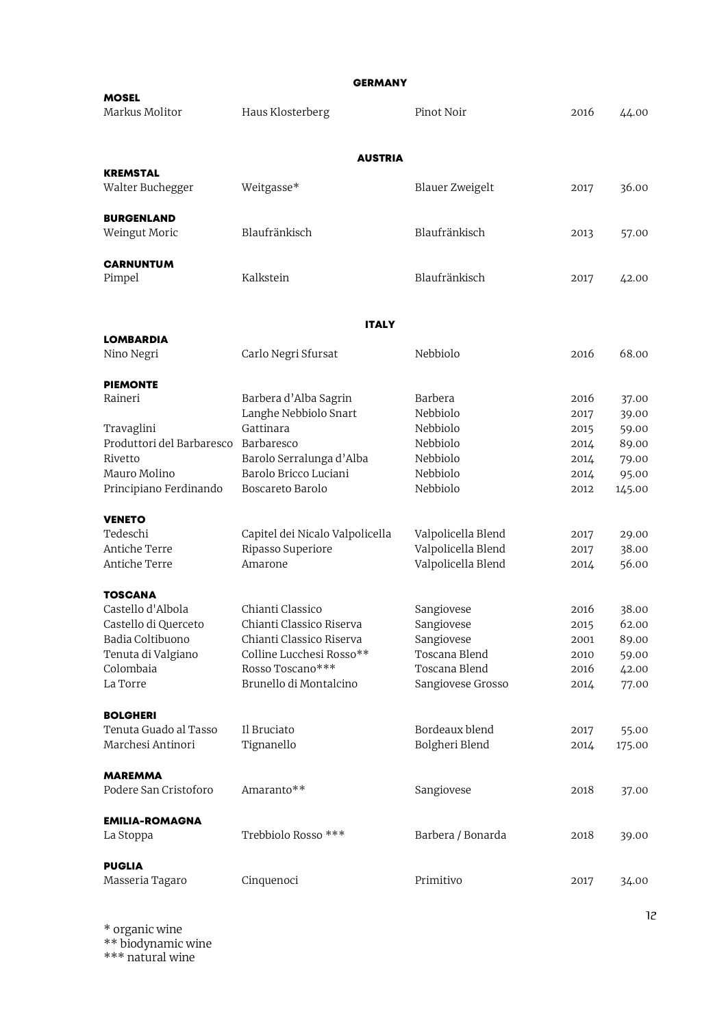|                                                    | <b>GERMANY</b>                  |                        |              |                |
|----------------------------------------------------|---------------------------------|------------------------|--------------|----------------|
| <b>MOSEL</b><br>Markus Molitor                     | Haus Klosterberg                | Pinot Noir             | 2016         | 44.00          |
|                                                    | <b>AUSTRIA</b>                  |                        |              |                |
| <b>KREMSTAL</b>                                    |                                 |                        |              |                |
| Walter Buchegger                                   | Weitgasse*                      | <b>Blauer Zweigelt</b> | 2017         | 36.00          |
| <b>BURGENLAND</b><br>Weingut Moric                 | Blaufränkisch                   | Blaufränkisch          | 2013         | 57.00          |
| <b>CARNUNTUM</b><br>Pimpel                         | Kalkstein                       | Blaufränkisch          | 2017         | 42.00          |
|                                                    | <b>ITALY</b>                    |                        |              |                |
| <b>LOMBARDIA</b><br>Nino Negri                     | Carlo Negri Sfursat             | Nebbiolo               | 2016         | 68.00          |
| <b>PIEMONTE</b>                                    |                                 |                        |              |                |
| Raineri                                            | Barbera d'Alba Sagrin           | Barbera                | 2016         | 37.00          |
|                                                    | Langhe Nebbiolo Snart           | Nebbiolo               | 2017         | 39.00          |
| Travaglini<br>Produttori del Barbaresco Barbaresco | Gattinara                       | Nebbiolo<br>Nebbiolo   | 2015         | 59.00          |
| Rivetto                                            | Barolo Serralunga d'Alba        | Nebbiolo               | 2014<br>2014 | 89.00<br>79.00 |
| Mauro Molino                                       | Barolo Bricco Luciani           | Nebbiolo               | 2014         | 95.00          |
| Principiano Ferdinando                             | Boscareto Barolo                | Nebbiolo               | 2012         | 145.00         |
| <b>VENETO</b>                                      |                                 |                        |              |                |
| Tedeschi                                           | Capitel dei Nicalo Valpolicella | Valpolicella Blend     | 2017         | 29.00          |
| Antiche Terre                                      | Ripasso Superiore               | Valpolicella Blend     | 2017         | 38.00          |
| Antiche Terre                                      | Amarone                         | Valpolicella Blend     | 2014         | 56.00          |
| TOSCANA                                            |                                 |                        |              |                |
| Castello d'Albola                                  | Chianti Classico                | Sangiovese             | 2016         | 38.00          |
| Castello di Querceto                               | Chianti Classico Riserva        | Sangiovese             | 2015         | 62.00          |
| Badia Coltibuono                                   | Chianti Classico Riserva        | Sangiovese             | 2001         | 89.00          |
| Tenuta di Valgiano                                 | Colline Lucchesi Rosso**        | Toscana Blend          | 2010         | 59.00          |
| Colombaia                                          | Rosso Toscano***                | Toscana Blend          | 2016         | 42.00          |
| La Torre                                           | Brunello di Montalcino          | Sangiovese Grosso      | 2014         | 77.00          |
| <b>BOLGHERI</b>                                    |                                 |                        |              |                |
| Tenuta Guado al Tasso                              | Il Bruciato                     | Bordeaux blend         | 2017         | 55.00          |
| Marchesi Antinori                                  | Tignanello                      | Bolgheri Blend         | 2014         | 175.00         |
| <b>MAREMMA</b><br>Podere San Cristoforo            | Amaranto**                      | Sangiovese             | 2018         | 37.00          |
| <b>EMILIA-ROMAGNA</b><br>La Stoppa                 | Trebbiolo Rosso ***             | Barbera / Bonarda      | 2018         | 39.00          |
| <b>PUGLIA</b><br>Masseria Tagaro                   | Cinquenoci                      | Primitivo              | 2017         | 34.00          |
|                                                    |                                 |                        |              |                |

\* organic wine \*\* biodynamic wine \*\*\* natural wine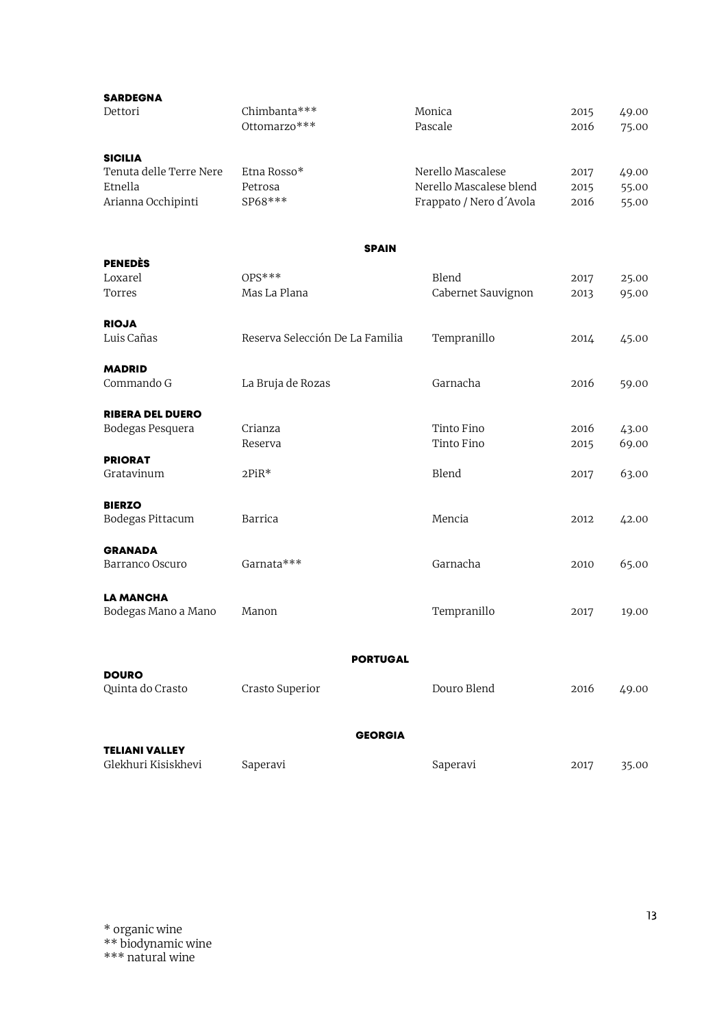| <b>SARDEGNA</b>         |                                 |                         |      |       |
|-------------------------|---------------------------------|-------------------------|------|-------|
| Dettori                 | Chimbanta***                    | Monica                  | 2015 | 49.00 |
|                         | Ottomarzo***                    | Pascale                 | 2016 | 75.00 |
| <b>SICILIA</b>          |                                 |                         |      |       |
| Tenuta delle Terre Nere | Etna Rosso*                     | Nerello Mascalese       | 2017 | 49.00 |
| Etnella                 | Petrosa                         | Nerello Mascalese blend | 2015 | 55.00 |
| Arianna Occhipinti      | SP68***                         | Frappato / Nero d'Avola | 2016 | 55.00 |
|                         |                                 |                         |      |       |
|                         | <b>SPAIN</b>                    |                         |      |       |
| <b>PENEDÈS</b>          |                                 |                         |      |       |
| Loxarel                 | $OPS***$                        | Blend                   | 2017 | 25.00 |
| Torres                  | Mas La Plana                    | Cabernet Sauvignon      | 2013 | 95.00 |
| <b>RIOJA</b>            |                                 |                         |      |       |
| Luis Cañas              | Reserva Selección De La Familia | Tempranillo             | 2014 | 45.00 |
|                         |                                 |                         |      |       |
| <b>MADRID</b>           |                                 |                         |      |       |
| Commando G              | La Bruja de Rozas               | Garnacha                | 2016 | 59.00 |
| <b>RIBERA DEL DUERO</b> |                                 |                         |      |       |
| Bodegas Pesquera        | Crianza                         | Tinto Fino              | 2016 | 43.00 |
|                         | Reserva                         | Tinto Fino              | 2015 | 69.00 |
| <b>PRIORAT</b>          |                                 |                         |      |       |
| Gratavinum              | $2PiR*$                         | Blend                   | 2017 | 63.00 |
| <b>BIERZO</b>           |                                 |                         |      |       |
| Bodegas Pittacum        | Barrica                         | Mencia                  | 2012 | 42.00 |
|                         |                                 |                         |      |       |
| <b>GRANADA</b>          |                                 |                         |      |       |
| Barranco Oscuro         | Garnata***                      | Garnacha                | 2010 | 65.00 |
| <b>LA MANCHA</b>        |                                 |                         |      |       |
| Bodegas Mano a Mano     | Manon                           | Tempranillo             | 2017 | 19.00 |
|                         |                                 |                         |      |       |
|                         |                                 |                         |      |       |
| <b>DOURO</b>            | <b>PORTUGAL</b>                 |                         |      |       |
| Quinta do Crasto        | Crasto Superior                 | Douro Blend             | 2016 | 49.00 |
|                         |                                 |                         |      |       |
|                         | <b>GEORGIA</b>                  |                         |      |       |
| <b>TELIANI VALLEY</b>   |                                 |                         |      |       |
| Glekhuri Kisiskhevi     | Saperavi                        | Saperavi                | 2017 | 35.00 |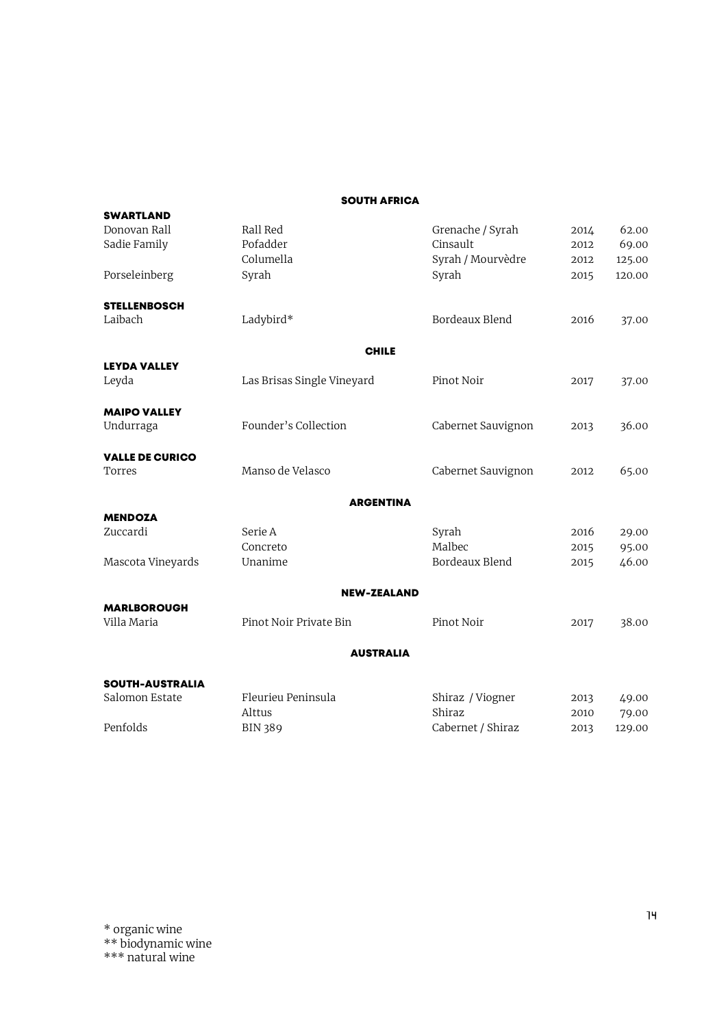#### SOUTH AFRICA

| <b>SWARTLAND</b>       |                            |                    |      |        |
|------------------------|----------------------------|--------------------|------|--------|
| Donovan Rall           | Rall Red                   | Grenache / Syrah   | 2014 | 62.00  |
| Sadie Family           | Pofadder                   | Cinsault           | 2012 | 69.00  |
|                        | Columella                  | Syrah / Mourvèdre  | 2012 | 125.00 |
| Porseleinberg          | Syrah                      | Syrah              | 2015 | 120.00 |
| <b>STELLENBOSCH</b>    |                            |                    |      |        |
| Laibach                | Ladybird*                  | Bordeaux Blend     | 2016 | 37.00  |
|                        | <b>CHILE</b>               |                    |      |        |
| <b>LEYDA VALLEY</b>    |                            |                    |      |        |
| Leyda                  | Las Brisas Single Vineyard | Pinot Noir         | 2017 | 37.00  |
| <b>MAIPO VALLEY</b>    |                            |                    |      |        |
| Undurraga              | Founder's Collection       | Cabernet Sauvignon | 2013 | 36.00  |
| <b>VALLE DE CURICO</b> |                            |                    |      |        |
| Torres                 | Manso de Velasco           | Cabernet Sauvignon | 2012 | 65.00  |
|                        | <b>ARGENTINA</b>           |                    |      |        |
| <b>MENDOZA</b>         |                            |                    |      |        |
| Zuccardi               | Serie A                    | Syrah              | 2016 | 29.00  |
|                        | Concreto                   | Malbec             | 2015 | 95.00  |
| Mascota Vineyards      | Unanime                    | Bordeaux Blend     | 2015 | 46.00  |
|                        | <b>NEW-ZEALAND</b>         |                    |      |        |
| <b>MARLBOROUGH</b>     |                            |                    |      |        |
| Villa Maria            | Pinot Noir Private Bin     | Pinot Noir         | 2017 | 38.00  |
|                        | <b>AUSTRALIA</b>           |                    |      |        |
| <b>SOUTH-AUSTRALIA</b> |                            |                    |      |        |
| Salomon Estate         | Fleurieu Peninsula         | Shiraz / Viogner   | 2013 | 49.00  |
|                        | Alttus                     | Shiraz             | 2010 | 79.00  |
| Penfolds               | <b>BIN 389</b>             | Cabernet / Shiraz  | 2013 | 129.00 |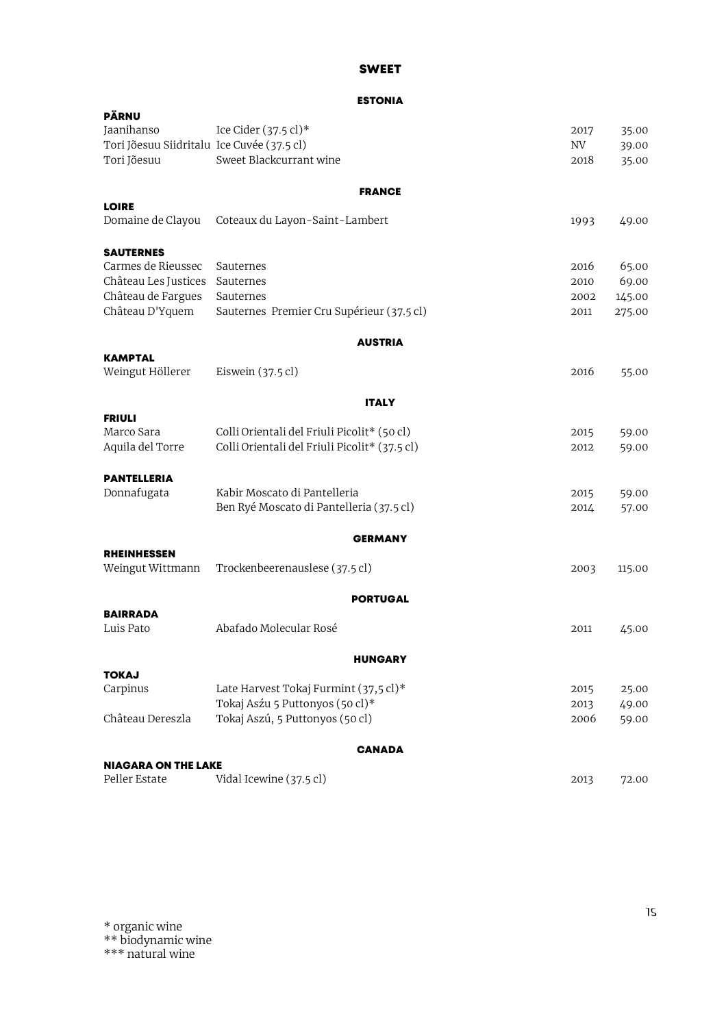#### SWEET

#### ESTONIA

| <b>PÄRNU</b><br>Jaanihanso                 | Ice Cider $(37.5 \text{ cl})^*$               | 2017 |                |
|--------------------------------------------|-----------------------------------------------|------|----------------|
| Tori Jõesuu Siidritalu Ice Cuvée (37.5 cl) |                                               | NV   | 35.00<br>39.00 |
| Tori Jõesuu                                | Sweet Blackcurrant wine                       | 2018 |                |
|                                            |                                               |      | 35.00          |
|                                            | <b>FRANCE</b>                                 |      |                |
| <b>LOIRE</b>                               |                                               |      |                |
| Domaine de Clayou                          | Coteaux du Layon-Saint-Lambert                | 1993 | 49.00          |
| <b>SAUTERNES</b>                           |                                               |      |                |
| Carmes de Rieussec                         | Sauternes                                     | 2016 | 65.00          |
| Château Les Justices                       | Sauternes                                     | 2010 | 69.00          |
| Château de Fargues                         | Sauternes                                     | 2002 | 145.00         |
| Château D'Yquem                            | Sauternes Premier Cru Supérieur (37.5 cl)     | 2011 | 275.00         |
|                                            | <b>AUSTRIA</b>                                |      |                |
| <b>KAMPTAL</b>                             |                                               |      |                |
| Weingut Höllerer                           | Eiswein (37.5 cl)                             | 2016 | 55.00          |
|                                            | <b>ITALY</b>                                  |      |                |
| <b>FRIULI</b>                              |                                               |      |                |
| Marco Sara                                 | Colli Orientali del Friuli Picolit* (50 cl)   | 2015 | 59.00          |
| Aquila del Torre                           | Colli Orientali del Friuli Picolit* (37.5 cl) | 2012 | 59.00          |
| <b>PANTELLERIA</b>                         |                                               |      |                |
| Donnafugata                                | Kabir Moscato di Pantelleria                  | 2015 | 59.00          |
|                                            | Ben Ryé Moscato di Pantelleria (37.5 cl)      | 2014 | 57.00          |
|                                            | <b>GERMANY</b>                                |      |                |
| <b>RHEINHESSEN</b>                         |                                               |      |                |
| Weingut Wittmann                           | Trockenbeerenauslese (37.5 cl)                | 2003 | 115.00         |
|                                            | <b>PORTUGAL</b>                               |      |                |
| <b>BAIRRADA</b>                            |                                               |      |                |
| Luis Pato                                  | Abafado Molecular Rosé                        | 2011 | 45.00          |
|                                            | <b>HUNGARY</b>                                |      |                |
| <b>TOKAJ</b>                               |                                               |      |                |
| Carpinus                                   | Late Harvest Tokaj Furmint (37,5 cl)*         | 2015 | 25.00          |
|                                            | Tokaj Asźu 5 Puttonyos (50 cl)*               | 2013 | 49.00          |
| Château Dereszla                           | Tokaj Aszú, 5 Puttonyos (50 cl)               | 2006 | 59.00          |
|                                            | <b>CANADA</b>                                 |      |                |
| <b>NIAGARA ON THE LAKE</b>                 |                                               |      |                |
| Peller Estate                              | Vidal Icewine (37.5 cl)                       | 2013 | 72.00          |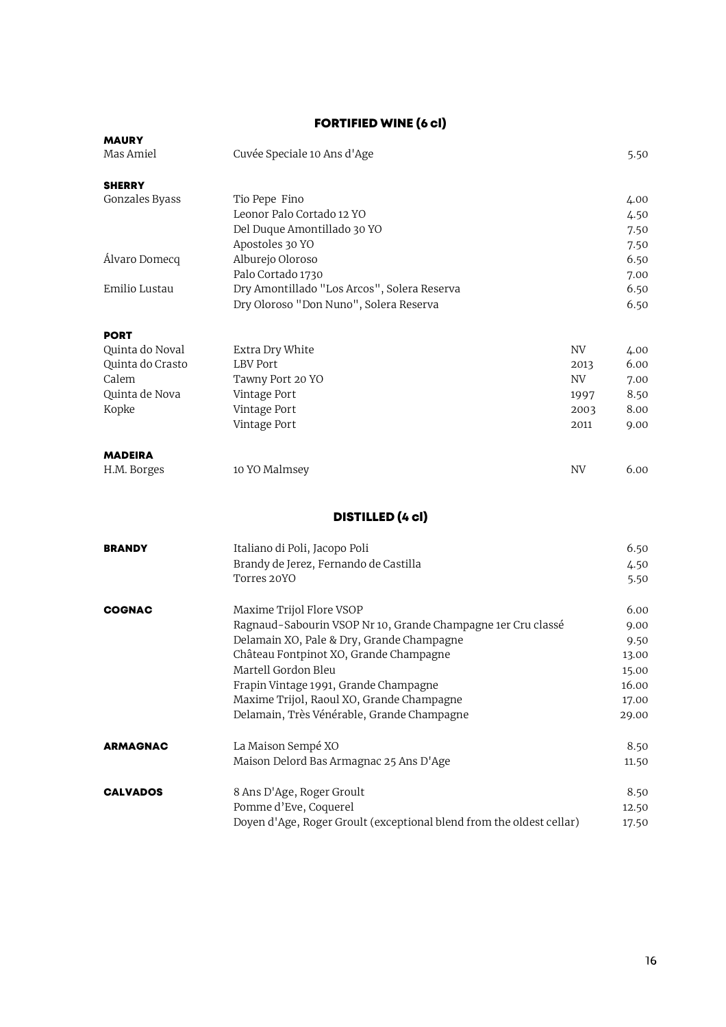# FORTIFIED WINE (6 cl)

| <b>MAURY</b>     |                                                                      |           |       |
|------------------|----------------------------------------------------------------------|-----------|-------|
| Mas Amiel        | Cuvée Speciale 10 Ans d'Age                                          |           | 5.50  |
| <b>SHERRY</b>    |                                                                      |           |       |
| Gonzales Byass   | Tio Pepe Fino                                                        |           | 4.00  |
|                  | Leonor Palo Cortado 12 YO                                            |           | 4.50  |
|                  | Del Duque Amontillado 30 YO                                          |           | 7.50  |
|                  | Apostoles 30 YO                                                      |           | 7.50  |
| Álvaro Domecq    | Alburejo Oloroso                                                     |           | 6.50  |
|                  | Palo Cortado 1730                                                    |           | 7.00  |
| Emilio Lustau    | Dry Amontillado "Los Arcos", Solera Reserva                          |           | 6.50  |
|                  | Dry Oloroso "Don Nuno", Solera Reserva                               |           | 6.50  |
| <b>PORT</b>      |                                                                      |           |       |
| Quinta do Noval  | Extra Dry White                                                      | NV        | 4.00  |
| Quinta do Crasto | LBV Port                                                             | 2013      | 6.00  |
| Calem            | Tawny Port 20 YO                                                     | <b>NV</b> | 7.00  |
| Quinta de Nova   | Vintage Port                                                         | 1997      | 8.50  |
| Kopke            | Vintage Port                                                         | 2003      | 8.00  |
|                  | Vintage Port                                                         | 2011      | 9.00  |
| <b>MADEIRA</b>   |                                                                      |           |       |
| H.M. Borges      | 10 YO Malmsey                                                        | <b>NV</b> | 6.00  |
|                  | <b>DISTILLED</b> (4 cl)                                              |           |       |
| <b>BRANDY</b>    | Italiano di Poli, Jacopo Poli                                        |           | 6.50  |
|                  | Brandy de Jerez, Fernando de Castilla                                |           | 4.50  |
|                  | Torres 20YO                                                          |           | 5.50  |
| <b>COGNAC</b>    | Maxime Trijol Flore VSOP                                             |           | 6.00  |
|                  | Ragnaud-Sabourin VSOP Nr 10, Grande Champagne 1er Cru classé         |           | 9.00  |
|                  | Delamain XO, Pale & Dry, Grande Champagne                            |           | 9.50  |
|                  | Château Fontpinot XO, Grande Champagne                               |           | 13.00 |
|                  | Martell Gordon Bleu                                                  |           | 15.00 |
|                  | Frapin Vintage 1991, Grande Champagne                                |           | 16.00 |
|                  | Maxime Trijol, Raoul XO, Grande Champagne                            |           | 17.00 |
|                  | Delamain, Très Vénérable, Grande Champagne                           |           | 29.00 |
| <b>ARMAGNAC</b>  | La Maison Sempé XO                                                   |           | 8.50  |
|                  | Maison Delord Bas Armagnac 25 Ans D'Age                              |           | 11.50 |
| <b>CALVADOS</b>  | 8 Ans D'Age, Roger Groult                                            |           | 8.50  |
|                  | Pomme d'Eve, Coquerel                                                |           | 12.50 |
|                  | Doyen d'Age, Roger Groult (exceptional blend from the oldest cellar) |           | 17.50 |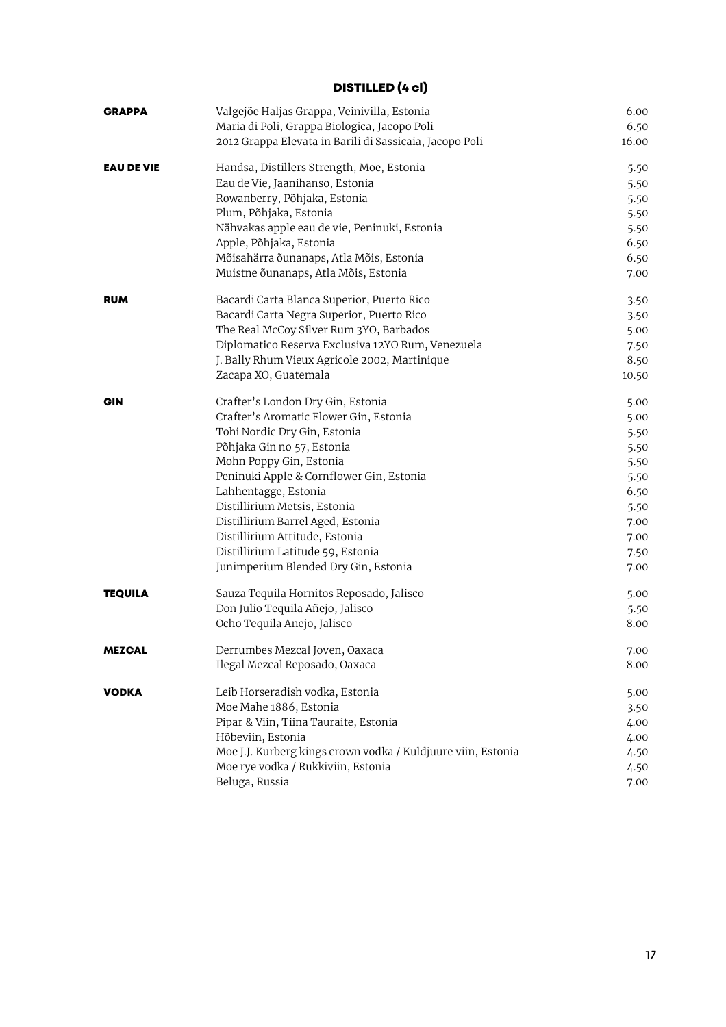## DISTILLED (4 cl)

| <b>GRAPPA</b>     | Valgejõe Haljas Grappa, Veinivilla, Estonia                  | 6.00  |
|-------------------|--------------------------------------------------------------|-------|
|                   | Maria di Poli, Grappa Biologica, Jacopo Poli                 | 6.50  |
|                   | 2012 Grappa Elevata in Barili di Sassicaia, Jacopo Poli      | 16.00 |
| <b>EAU DE VIE</b> | Handsa, Distillers Strength, Moe, Estonia                    | 5.50  |
|                   | Eau de Vie, Jaanihanso, Estonia                              | 5.50  |
|                   | Rowanberry, Põhjaka, Estonia                                 | 5.50  |
|                   | Plum, Põhjaka, Estonia                                       | 5.50  |
|                   | Nähvakas apple eau de vie, Peninuki, Estonia                 | 5.50  |
|                   | Apple, Põhjaka, Estonia                                      | 6.50  |
|                   | Mõisahärra õunanaps, Atla Mõis, Estonia                      | 6.50  |
|                   | Muistne õunanaps, Atla Mõis, Estonia                         | 7.00  |
| <b>RUM</b>        | Bacardi Carta Blanca Superior, Puerto Rico                   | 3.50  |
|                   | Bacardi Carta Negra Superior, Puerto Rico                    | 3.50  |
|                   | The Real McCoy Silver Rum 3YO, Barbados                      | 5.00  |
|                   | Diplomatico Reserva Exclusiva 12YO Rum, Venezuela            | 7.50  |
|                   | J. Bally Rhum Vieux Agricole 2002, Martinique                | 8.50  |
|                   | Zacapa XO, Guatemala                                         | 10.50 |
| GIN               | Crafter's London Dry Gin, Estonia                            | 5.00  |
|                   | Crafter's Aromatic Flower Gin, Estonia                       | 5.00  |
|                   | Tohi Nordic Dry Gin, Estonia                                 | 5.50  |
|                   | Põhjaka Gin no 57, Estonia                                   | 5.50  |
|                   | Mohn Poppy Gin, Estonia                                      | 5.50  |
|                   | Peninuki Apple & Cornflower Gin, Estonia                     | 5.50  |
|                   | Lahhentagge, Estonia                                         | 6.50  |
|                   | Distillirium Metsis, Estonia                                 | 5.50  |
|                   | Distillirium Barrel Aged, Estonia                            | 7.00  |
|                   | Distillirium Attitude, Estonia                               | 7.00  |
|                   | Distillirium Latitude 59, Estonia                            | 7.50  |
|                   | Junimperium Blended Dry Gin, Estonia                         | 7.00  |
| <b>TEQUILA</b>    | Sauza Tequila Hornitos Reposado, Jalisco                     | 5.00  |
|                   | Don Julio Tequila Añejo, Jalisco                             | 5.50  |
|                   | Ocho Tequila Anejo, Jalisco                                  | 8.00  |
| <b>MEZCAL</b>     | Derrumbes Mezcal Joven, Oaxaca                               | 7.00  |
|                   | Ilegal Mezcal Reposado, Oaxaca                               | 8.00  |
| <b>VODKA</b>      | Leib Horseradish vodka, Estonia                              | 5.00  |
|                   | Moe Mahe 1886, Estonia                                       | 3.50  |
|                   | Pipar & Viin, Tiina Tauraite, Estonia                        | 4.00  |
|                   | Hõbeviin, Estonia                                            | 4.00  |
|                   | Moe J.J. Kurberg kings crown vodka / Kuldjuure viin, Estonia | 4.50  |
|                   | Moe rye vodka / Rukkiviin, Estonia                           | 4.50  |
|                   | Beluga, Russia                                               | 7.00  |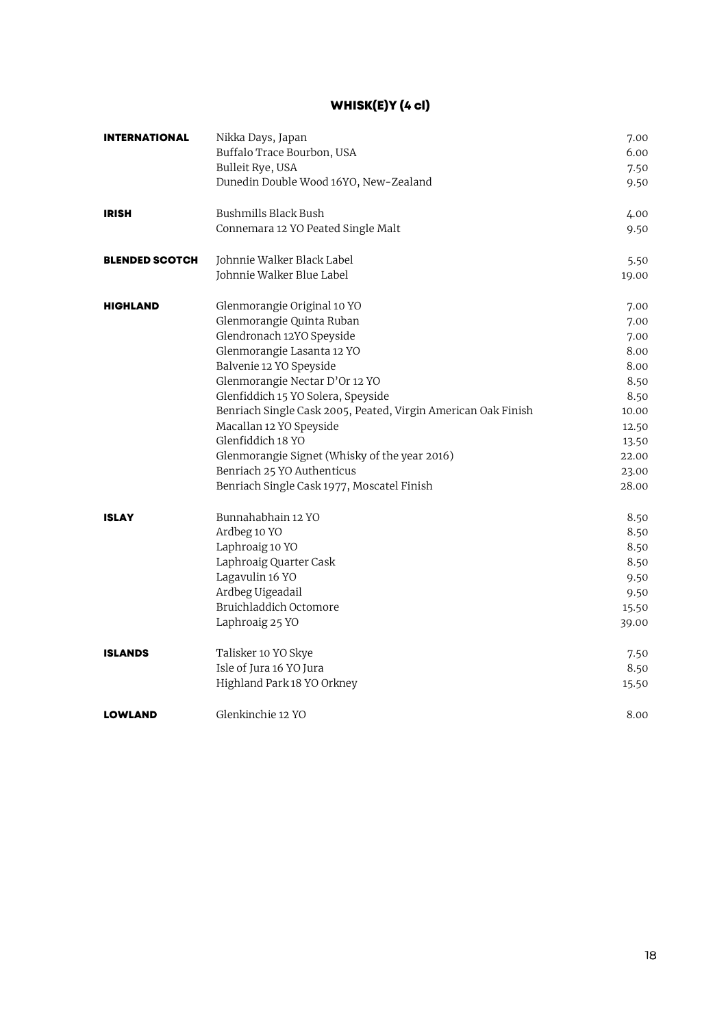# WHISK(E)Y (4 cl)

| <b>INTERNATIONAL</b>  | Nikka Days, Japan                                             | 7.00  |
|-----------------------|---------------------------------------------------------------|-------|
|                       | Buffalo Trace Bourbon, USA                                    | 6.00  |
|                       | Bulleit Rye, USA                                              | 7.50  |
|                       | Dunedin Double Wood 16YO, New-Zealand                         | 9.50  |
| <b>IRISH</b>          | Bushmills Black Bush                                          | 4.00  |
|                       | Connemara 12 YO Peated Single Malt                            | 9.50  |
| <b>BLENDED SCOTCH</b> | Johnnie Walker Black Label                                    | 5.50  |
|                       | Johnnie Walker Blue Label                                     | 19.00 |
| <b>HIGHLAND</b>       | Glenmorangie Original 10 YO                                   | 7.00  |
|                       | Glenmorangie Quinta Ruban                                     | 7.00  |
|                       | Glendronach 12YO Speyside                                     | 7.00  |
|                       | Glenmorangie Lasanta 12 YO                                    | 8.00  |
|                       | Balvenie 12 YO Speyside                                       | 8.00  |
|                       | Glenmorangie Nectar D'Or 12 YO                                | 8.50  |
|                       | Glenfiddich 15 YO Solera, Speyside                            | 8.50  |
|                       | Benriach Single Cask 2005, Peated, Virgin American Oak Finish | 10.00 |
|                       | Macallan 12 YO Speyside                                       | 12.50 |
|                       | Glenfiddich 18 YO                                             | 13.50 |
|                       | Glenmorangie Signet (Whisky of the year 2016)                 | 22.00 |
|                       | Benriach 25 YO Authenticus                                    | 23.00 |
|                       | Benriach Single Cask 1977, Moscatel Finish                    | 28.00 |
| <b>ISLAY</b>          | Bunnahabhain 12 YO                                            | 8.50  |
|                       | Ardbeg 10 YO                                                  | 8.50  |
|                       | Laphroaig 10 YO                                               | 8.50  |
|                       | Laphroaig Quarter Cask                                        | 8.50  |
|                       | Lagavulin 16 YO                                               | 9.50  |
|                       | Ardbeg Uigeadail                                              | 9.50  |
|                       | Bruichladdich Octomore                                        | 15.50 |
|                       | Laphroaig 25 YO                                               | 39.00 |
| <b>ISLANDS</b>        | Talisker 10 YO Skye                                           | 7.50  |
|                       | Isle of Jura 16 YO Jura                                       | 8.50  |
|                       | Highland Park 18 YO Orkney                                    | 15.50 |
| <b>LOWLAND</b>        | Glenkinchie 12 YO                                             | 8.00  |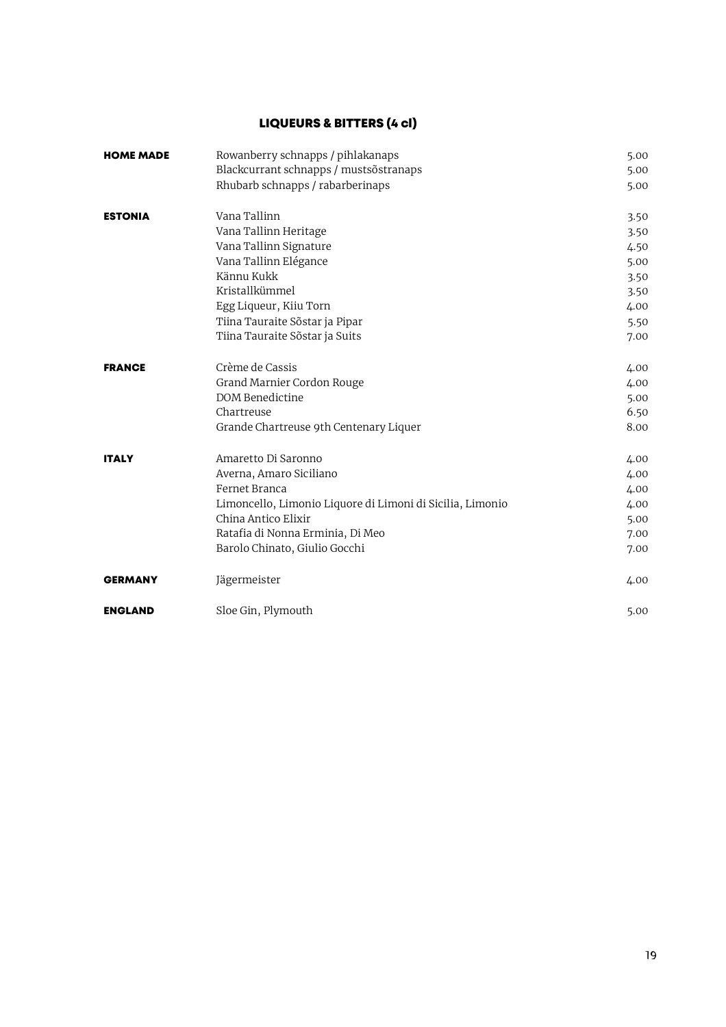# LIQUEURS & BITTERS (4 cl)

| <b>HOME MADE</b> | Rowanberry schnapps / pihlakanaps                         | 5.00 |
|------------------|-----------------------------------------------------------|------|
|                  | Blackcurrant schnapps / mustsõstranaps                    | 5.00 |
|                  | Rhubarb schnapps / rabarberinaps                          | 5.00 |
| <b>ESTONIA</b>   | Vana Tallinn                                              | 3.50 |
|                  | Vana Tallinn Heritage                                     | 3.50 |
|                  | Vana Tallinn Signature                                    | 4.50 |
|                  | Vana Tallinn Elégance                                     | 5.00 |
|                  | Kännu Kukk                                                | 3.50 |
|                  | Kristallkümmel                                            | 3.50 |
|                  | Egg Liqueur, Kiiu Torn                                    | 4.00 |
|                  | Tiina Tauraite Sõstar ja Pipar                            | 5.50 |
|                  | Tiina Tauraite Sõstar ja Suits                            | 7.00 |
| <b>FRANCE</b>    | Crème de Cassis                                           | 4.00 |
|                  | Grand Marnier Cordon Rouge                                | 4.00 |
|                  | DOM Benedictine                                           | 5.00 |
|                  | Chartreuse                                                | 6.50 |
|                  | Grande Chartreuse 9th Centenary Liquer                    | 8.00 |
| <b>ITALY</b>     | Amaretto Di Saronno                                       | 4.00 |
|                  | Averna, Amaro Siciliano                                   | 4.00 |
|                  | Fernet Branca                                             | 4.00 |
|                  | Limoncello, Limonio Liquore di Limoni di Sicilia, Limonio | 4.00 |
|                  | China Antico Elixir                                       | 5.00 |
|                  | Ratafia di Nonna Erminia, Di Meo                          | 7.00 |
|                  | Barolo Chinato, Giulio Gocchi                             | 7.00 |
| <b>GERMANY</b>   | Jägermeister                                              | 4.00 |
| <b>ENGLAND</b>   | Sloe Gin, Plymouth                                        | 5.00 |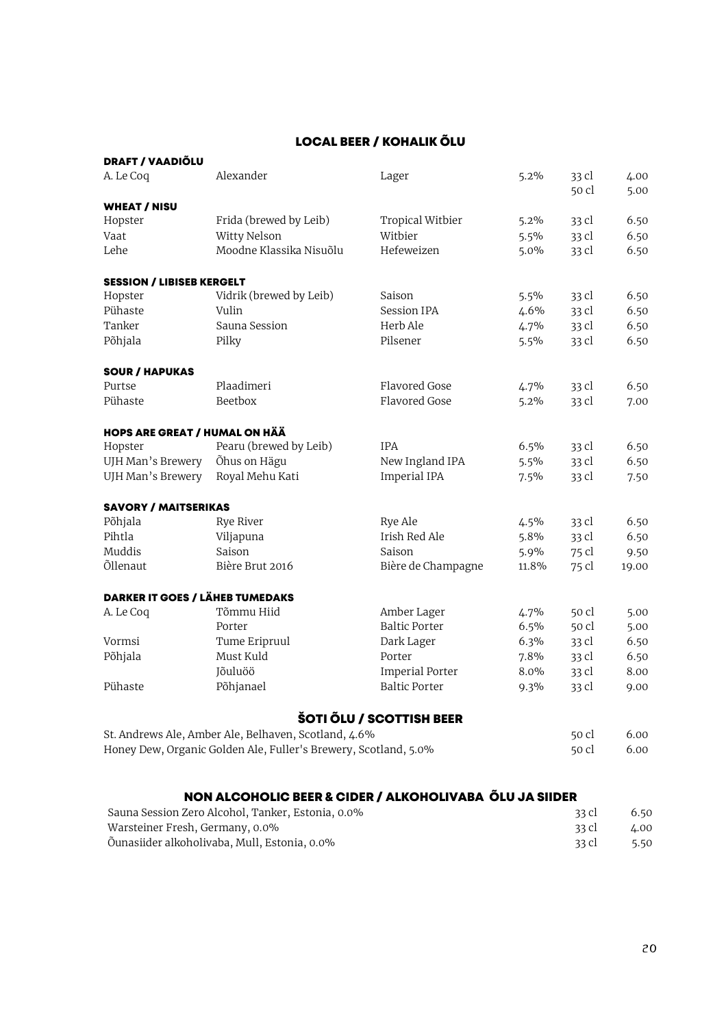# LOCAL BEER / KOHALIK ÕLU

|                                        |                                                                 | LOGAL BEER / KOHALIK OLU |       |       |       |
|----------------------------------------|-----------------------------------------------------------------|--------------------------|-------|-------|-------|
| <b>DRAFT / VAADIÕLU</b>                |                                                                 |                          |       |       |       |
| A. Le Coq                              | Alexander                                                       | Lager                    | 5.2%  | 33 cl | 4.00  |
|                                        |                                                                 |                          |       | 50 cl | 5.00  |
| <b>WHEAT / NISU</b>                    |                                                                 |                          |       |       |       |
| Hopster                                | Frida (brewed by Leib)                                          | Tropical Witbier         | 5.2%  | 33 cl | 6.50  |
| Vaat                                   | Witty Nelson                                                    | Witbier                  | 5.5%  | 33 cl | 6.50  |
| Lehe                                   | Moodne Klassika Nisuõlu                                         | Hefeweizen               | 5.0%  | 33 cl | 6.50  |
| <b>SESSION / LIBISEB KERGELT</b>       |                                                                 |                          |       |       |       |
| Hopster                                | Vidrik (brewed by Leib)                                         | Saison                   | 5.5%  | 33 cl | 6.50  |
| Pühaste                                | Vulin                                                           | Session IPA              | 4.6%  | 33 cl | 6.50  |
| Tanker                                 | Sauna Session                                                   | Herb Ale                 | 4.7%  | 33 cl | 6.50  |
| Põhjala                                | Pilky                                                           | Pilsener                 | 5.5%  | 33 cl | 6.50  |
|                                        |                                                                 |                          |       |       |       |
| <b>SOUR / HAPUKAS</b>                  |                                                                 |                          |       |       |       |
| Purtse                                 | Plaadimeri                                                      | Flavored Gose            | 4.7%  | 33 cl | 6.50  |
| Pühaste                                | Beetbox                                                         | Flavored Gose            | 5.2%  | 33 cl | 7.00  |
| <b>HOPS ARE GREAT / HUMAL ON HÄÄ</b>   |                                                                 |                          |       |       |       |
| Hopster                                | Pearu (brewed by Leib)                                          | <b>IPA</b>               | 6.5%  | 33 cl | 6.50  |
| UJH Man's Brewery                      | Õhus on Hägu                                                    | New Ingland IPA          | 5.5%  | 33 cl | 6.50  |
| UJH Man's Brewery                      | Royal Mehu Kati                                                 | Imperial IPA             | 7.5%  | 33 cl | 7.50  |
| <b>SAVORY / MAITSERIKAS</b>            |                                                                 |                          |       |       |       |
| Põhjala                                | Rye River                                                       | Rye Ale                  | 4.5%  | 33 cl | 6.50  |
| Pihtla                                 | Viljapuna                                                       | Irish Red Ale            | 5.8%  | 33 cl | 6.50  |
| Muddis                                 | Saison                                                          | Saison                   | 5.9%  | 75 cl | 9.50  |
| Õllenaut                               | Bière Brut 2016                                                 | Bière de Champagne       | 11.8% | 75 cl | 19.00 |
|                                        |                                                                 |                          |       |       |       |
| <b>DARKER IT GOES / LÄHEB TUMEDAKS</b> |                                                                 |                          |       |       |       |
| A. Le Coq                              | Tõmmu Hiid                                                      | Amber Lager              | 4.7%  | 50 cl | 5.00  |
|                                        | Porter                                                          | <b>Baltic Porter</b>     | 6.5%  | 50 cl | 5.00  |
| Vormsi                                 | Tume Eripruul                                                   | Dark Lager               | 6.3%  | 33 cl | 6.50  |
| Põhjala                                | Must Kuld                                                       | Porter                   | 7.8%  | 33 cl | 6.50  |
|                                        | Jõuluöö                                                         | <b>Imperial Porter</b>   | 8.0%  | 33 cl | 8.00  |
| Pühaste                                | Põhjanael                                                       | <b>Baltic Porter</b>     | 9.3%  | 33 cl | 9.00  |
|                                        |                                                                 | ŠOTI ÕLU / SCOTTISH BEER |       |       |       |
|                                        | St. Andrews Ale, Amber Ale, Belhaven, Scotland, 4.6%            |                          |       | 50 cl | 6.00  |
|                                        | Honey Dew, Organic Golden Ale, Fuller's Brewery, Scotland, 5.0% |                          |       | 50 cl | 6.00  |
|                                        |                                                                 |                          |       |       |       |
|                                        | NON ALCOHOLIC BEER & CIDER / ALKOHOLIVABA ÖLU JA SIIDER         |                          |       |       |       |
|                                        |                                                                 |                          |       |       |       |

| Sauna Session Zero Alcohol, Tanker, Estonia, 0.0% | - 33 CL | 6.50        |
|---------------------------------------------------|---------|-------------|
| Warsteiner Fresh, Germany, 0.0%                   | - 33 CL | $\Delta 00$ |
| Õunasiider alkoholivaba, Mull, Estonia, 0.0%      | - 33 CL | 5.50        |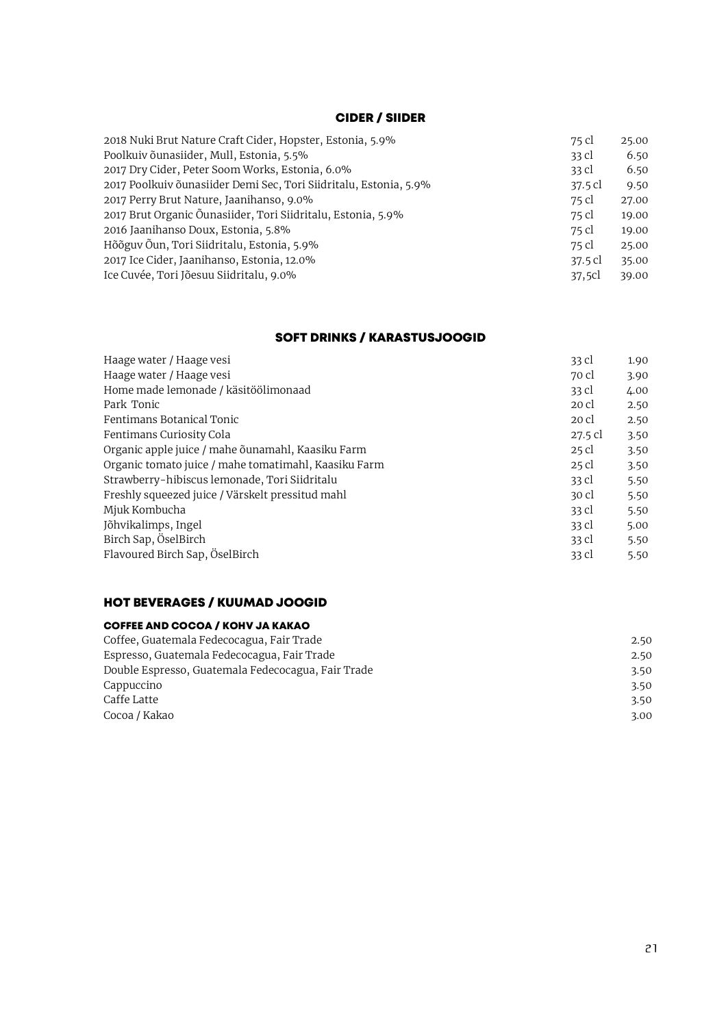## CIDER / SIIDER

| 2018 Nuki Brut Nature Craft Cider, Hopster, Estonia, 5.9%         | 75 cl   | 25.00 |
|-------------------------------------------------------------------|---------|-------|
| Poolkuiv õunasiider, Mull, Estonia, 5.5%                          | 33 cl   | 6.50  |
| 2017 Dry Cider, Peter Soom Works, Estonia, 6.0%                   | 33 cl   | 6.50  |
| 2017 Poolkuiv õunasiider Demi Sec, Tori Siidritalu, Estonia, 5.9% | 37.5 Cl | 9.50  |
| 2017 Perry Brut Nature, Jaanihanso, 9.0%                          | 75 cl   | 27.00 |
| 2017 Brut Organic Õunasiider, Tori Siidritalu, Estonia, 5.9%      | 75 cl   | 19.00 |
| 2016 Jaanihanso Doux, Estonia, 5.8%                               | 75 cl   | 19.00 |
| Hõõguv Õun, Tori Siidritalu, Estonia, 5.9%                        | 75 cl   | 25.00 |
| 2017 Ice Cider, Jaanihanso, Estonia, 12.0%                        | 37.5 cl | 35.00 |
| Ice Cuvée, Tori Jõesuu Siidritalu, 9.0%                           | 37,5cl  | 39.00 |
|                                                                   |         |       |

## SOFT DRINKS / KARASTUSJOOGID

| Haage water / Haage vesi                             | 33 cl   | 1.90 |
|------------------------------------------------------|---------|------|
| Haage water / Haage vesi                             | 70 cl   | 3.90 |
| Home made lemonade / käsitöölimonaad                 | 33 cl   | 4.00 |
| Park Tonic                                           | 20 cl   | 2.50 |
| Fentimans Botanical Tonic                            | 20 cl   | 2.50 |
| Fentimans Curiosity Cola                             | 27.5 cl | 3.50 |
| Organic apple juice / mahe õunamahl, Kaasiku Farm    | $25$ cl | 3.50 |
| Organic tomato juice / mahe tomatimahl, Kaasiku Farm | $25$ cl | 3.50 |
| Strawberry-hibiscus lemonade, Tori Siidritalu        | 33 cl   | 5.50 |
| Freshly squeezed juice / Värskelt pressitud mahl     | 30 cl   | 5.50 |
| Mjuk Kombucha                                        | 33 cl   | 5.50 |
| Jõhvikalimps, Ingel                                  | 33 cl   | 5.00 |
| Birch Sap, ÖselBirch                                 | 33 cl   | 5.50 |
| Flavoured Birch Sap, ÖselBirch                       | 33 cl   | 5.50 |
|                                                      |         |      |

## HOT BEVERAGES / KUUMAD JOOGID

| <b>COFFEE AND COCOA / KOHV JA KAKAO</b>            |      |
|----------------------------------------------------|------|
| Coffee, Guatemala Fedecocagua, Fair Trade          | 2.50 |
| Espresso, Guatemala Fedecocagua, Fair Trade        | 2.50 |
| Double Espresso, Guatemala Fedecocagua, Fair Trade | 3.50 |
| Cappuccino                                         | 3.50 |
| Caffe Latte                                        | 3.50 |
| Cocoa / Kakao                                      | 3.00 |
|                                                    |      |